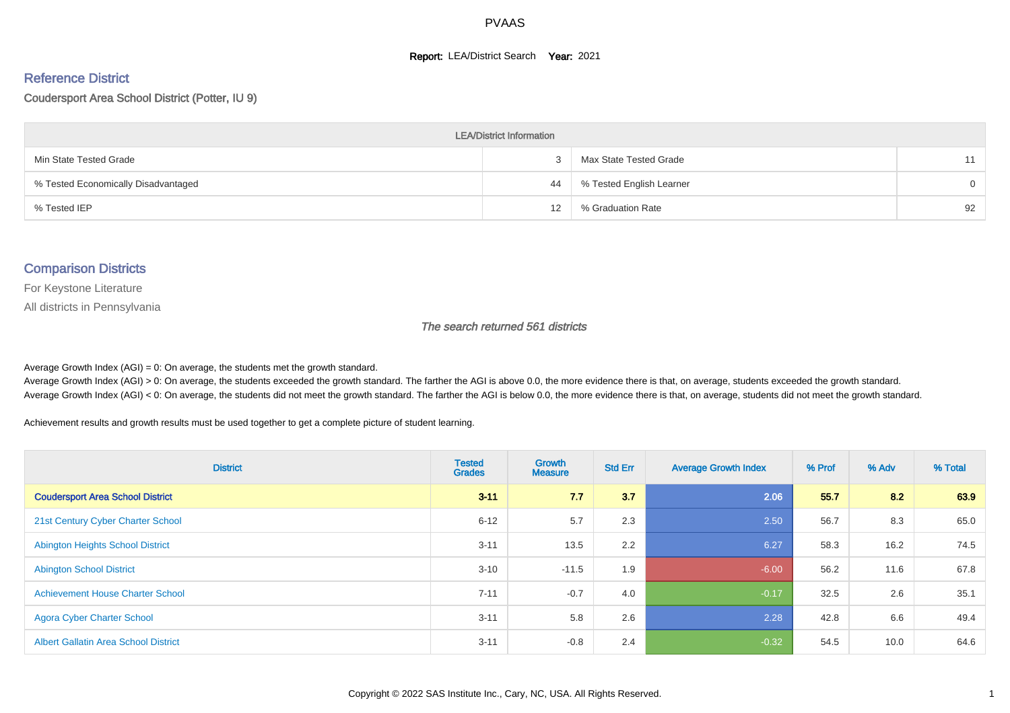#### **Report: LEA/District Search Year: 2021**

# Reference District

#### Coudersport Area School District (Potter, IU 9)

| <b>LEA/District Information</b>     |                   |                          |          |  |  |  |  |  |  |  |
|-------------------------------------|-------------------|--------------------------|----------|--|--|--|--|--|--|--|
| Min State Tested Grade              |                   | Max State Tested Grade   | 11       |  |  |  |  |  |  |  |
| % Tested Economically Disadvantaged | 44                | % Tested English Learner | $\Omega$ |  |  |  |  |  |  |  |
| % Tested IEP                        | $12 \overline{ }$ | % Graduation Rate        | 92       |  |  |  |  |  |  |  |

#### Comparison Districts

For Keystone Literature

All districts in Pennsylvania

The search returned 561 districts

Average Growth Index  $(AGI) = 0$ : On average, the students met the growth standard.

Average Growth Index (AGI) > 0: On average, the students exceeded the growth standard. The farther the AGI is above 0.0, the more evidence there is that, on average, students exceeded the growth standard. Average Growth Index (AGI) < 0: On average, the students did not meet the growth standard. The farther the AGI is below 0.0, the more evidence there is that, on average, students did not meet the growth standard.

Achievement results and growth results must be used together to get a complete picture of student learning.

| <b>District</b>                             | <b>Tested</b><br><b>Grades</b> | <b>Growth</b><br><b>Measure</b> | <b>Std Err</b> | <b>Average Growth Index</b> | % Prof | % Adv | % Total |
|---------------------------------------------|--------------------------------|---------------------------------|----------------|-----------------------------|--------|-------|---------|
| <b>Coudersport Area School District</b>     | $3 - 11$                       | 7.7                             | 3.7            | 2.06                        | 55.7   | 8.2   | 63.9    |
| 21st Century Cyber Charter School           | $6 - 12$                       | 5.7                             | 2.3            | 2.50                        | 56.7   | 8.3   | 65.0    |
| <b>Abington Heights School District</b>     | $3 - 11$                       | 13.5                            | 2.2            | 6.27                        | 58.3   | 16.2  | 74.5    |
| <b>Abington School District</b>             | $3 - 10$                       | $-11.5$                         | 1.9            | $-6.00$                     | 56.2   | 11.6  | 67.8    |
| <b>Achievement House Charter School</b>     | $7 - 11$                       | $-0.7$                          | 4.0            | $-0.17$                     | 32.5   | 2.6   | 35.1    |
| <b>Agora Cyber Charter School</b>           | $3 - 11$                       | 5.8                             | 2.6            | 2.28                        | 42.8   | 6.6   | 49.4    |
| <b>Albert Gallatin Area School District</b> | $3 - 11$                       | $-0.8$                          | 2.4            | $-0.32$                     | 54.5   | 10.0  | 64.6    |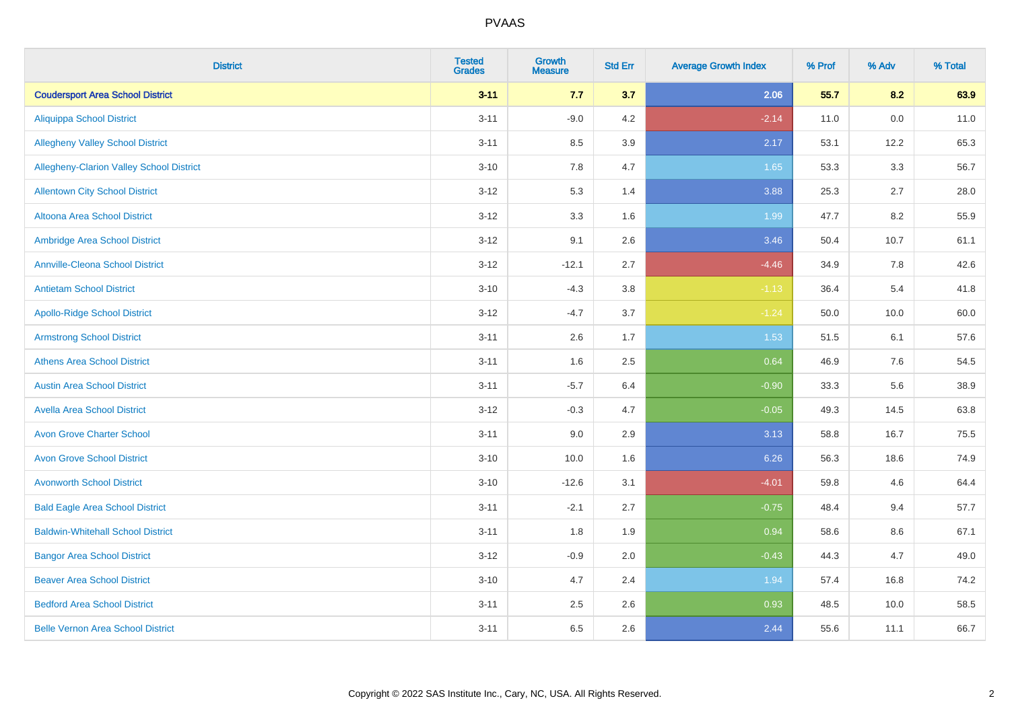| <b>District</b>                          | <b>Tested</b><br><b>Grades</b> | <b>Growth</b><br><b>Measure</b> | <b>Std Err</b> | <b>Average Growth Index</b> | % Prof | % Adv | % Total |
|------------------------------------------|--------------------------------|---------------------------------|----------------|-----------------------------|--------|-------|---------|
| <b>Coudersport Area School District</b>  | $3 - 11$                       | 7.7                             | 3.7            | 2.06                        | 55.7   | 8.2   | 63.9    |
| <b>Aliquippa School District</b>         | $3 - 11$                       | $-9.0$                          | 4.2            | $-2.14$                     | 11.0   | 0.0   | 11.0    |
| <b>Allegheny Valley School District</b>  | $3 - 11$                       | 8.5                             | 3.9            | 2.17                        | 53.1   | 12.2  | 65.3    |
| Allegheny-Clarion Valley School District | $3 - 10$                       | 7.8                             | 4.7            | 1.65                        | 53.3   | 3.3   | 56.7    |
| <b>Allentown City School District</b>    | $3 - 12$                       | 5.3                             | 1.4            | 3.88                        | 25.3   | 2.7   | 28.0    |
| <b>Altoona Area School District</b>      | $3 - 12$                       | 3.3                             | 1.6            | 1.99                        | 47.7   | 8.2   | 55.9    |
| Ambridge Area School District            | $3 - 12$                       | 9.1                             | 2.6            | 3.46                        | 50.4   | 10.7  | 61.1    |
| <b>Annville-Cleona School District</b>   | $3 - 12$                       | $-12.1$                         | 2.7            | $-4.46$                     | 34.9   | 7.8   | 42.6    |
| <b>Antietam School District</b>          | $3 - 10$                       | $-4.3$                          | 3.8            | $-1.13$                     | 36.4   | 5.4   | 41.8    |
| <b>Apollo-Ridge School District</b>      | $3 - 12$                       | $-4.7$                          | 3.7            | $-1.24$                     | 50.0   | 10.0  | 60.0    |
| <b>Armstrong School District</b>         | $3 - 11$                       | 2.6                             | 1.7            | 1.53                        | 51.5   | 6.1   | 57.6    |
| <b>Athens Area School District</b>       | $3 - 11$                       | 1.6                             | 2.5            | 0.64                        | 46.9   | 7.6   | 54.5    |
| <b>Austin Area School District</b>       | $3 - 11$                       | $-5.7$                          | 6.4            | $-0.90$                     | 33.3   | 5.6   | 38.9    |
| <b>Avella Area School District</b>       | $3 - 12$                       | $-0.3$                          | 4.7            | $-0.05$                     | 49.3   | 14.5  | 63.8    |
| <b>Avon Grove Charter School</b>         | $3 - 11$                       | 9.0                             | 2.9            | 3.13                        | 58.8   | 16.7  | 75.5    |
| <b>Avon Grove School District</b>        | $3 - 10$                       | 10.0                            | 1.6            | 6.26                        | 56.3   | 18.6  | 74.9    |
| <b>Avonworth School District</b>         | $3 - 10$                       | $-12.6$                         | 3.1            | $-4.01$                     | 59.8   | 4.6   | 64.4    |
| <b>Bald Eagle Area School District</b>   | $3 - 11$                       | $-2.1$                          | 2.7            | $-0.75$                     | 48.4   | 9.4   | 57.7    |
| <b>Baldwin-Whitehall School District</b> | $3 - 11$                       | 1.8                             | 1.9            | 0.94                        | 58.6   | 8.6   | 67.1    |
| <b>Bangor Area School District</b>       | $3 - 12$                       | $-0.9$                          | 2.0            | $-0.43$                     | 44.3   | 4.7   | 49.0    |
| <b>Beaver Area School District</b>       | $3 - 10$                       | 4.7                             | 2.4            | 1.94                        | 57.4   | 16.8  | 74.2    |
| <b>Bedford Area School District</b>      | $3 - 11$                       | 2.5                             | 2.6            | 0.93                        | 48.5   | 10.0  | 58.5    |
| <b>Belle Vernon Area School District</b> | $3 - 11$                       | 6.5                             | 2.6            | 2.44                        | 55.6   | 11.1  | 66.7    |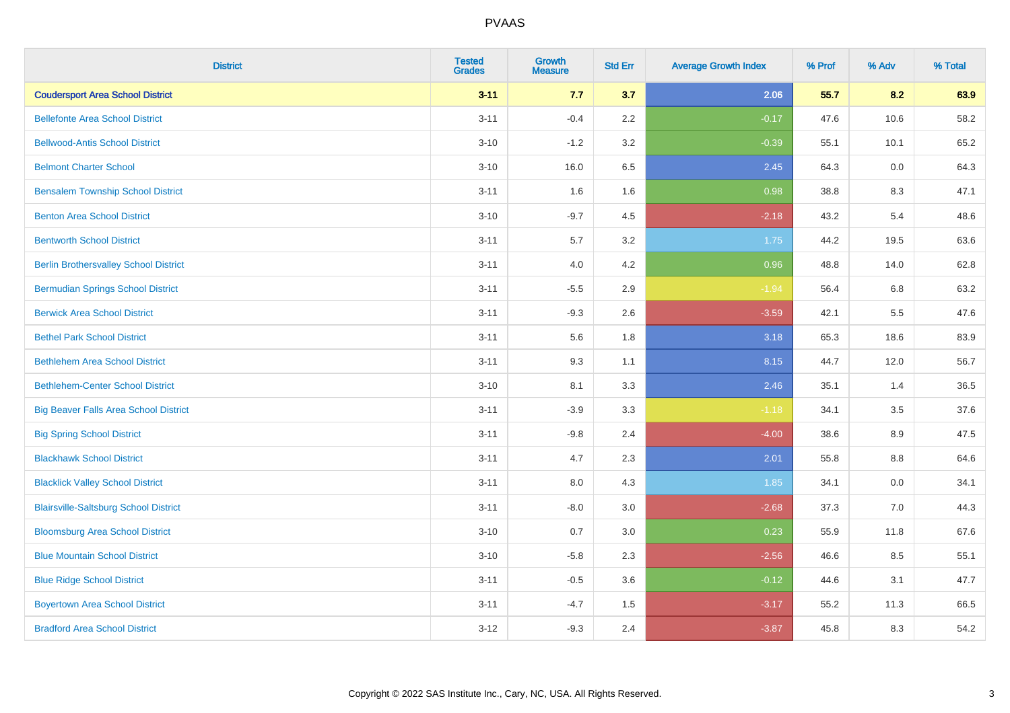| <b>District</b>                              | <b>Tested</b><br><b>Grades</b> | <b>Growth</b><br><b>Measure</b> | <b>Std Err</b> | <b>Average Growth Index</b> | % Prof | % Adv | % Total |
|----------------------------------------------|--------------------------------|---------------------------------|----------------|-----------------------------|--------|-------|---------|
| <b>Coudersport Area School District</b>      | $3 - 11$                       | 7.7                             | 3.7            | 2.06                        | 55.7   | 8.2   | 63.9    |
| <b>Bellefonte Area School District</b>       | $3 - 11$                       | $-0.4$                          | 2.2            | $-0.17$                     | 47.6   | 10.6  | 58.2    |
| <b>Bellwood-Antis School District</b>        | $3 - 10$                       | $-1.2$                          | 3.2            | $-0.39$                     | 55.1   | 10.1  | 65.2    |
| <b>Belmont Charter School</b>                | $3 - 10$                       | 16.0                            | 6.5            | 2.45                        | 64.3   | 0.0   | 64.3    |
| <b>Bensalem Township School District</b>     | $3 - 11$                       | 1.6                             | 1.6            | 0.98                        | 38.8   | 8.3   | 47.1    |
| <b>Benton Area School District</b>           | $3 - 10$                       | $-9.7$                          | 4.5            | $-2.18$                     | 43.2   | 5.4   | 48.6    |
| <b>Bentworth School District</b>             | $3 - 11$                       | 5.7                             | 3.2            | 1.75                        | 44.2   | 19.5  | 63.6    |
| <b>Berlin Brothersvalley School District</b> | $3 - 11$                       | 4.0                             | 4.2            | 0.96                        | 48.8   | 14.0  | 62.8    |
| <b>Bermudian Springs School District</b>     | $3 - 11$                       | $-5.5$                          | 2.9            | $-1.94$                     | 56.4   | 6.8   | 63.2    |
| <b>Berwick Area School District</b>          | $3 - 11$                       | $-9.3$                          | 2.6            | $-3.59$                     | 42.1   | 5.5   | 47.6    |
| <b>Bethel Park School District</b>           | $3 - 11$                       | 5.6                             | 1.8            | 3.18                        | 65.3   | 18.6  | 83.9    |
| <b>Bethlehem Area School District</b>        | $3 - 11$                       | 9.3                             | 1.1            | 8.15                        | 44.7   | 12.0  | 56.7    |
| <b>Bethlehem-Center School District</b>      | $3 - 10$                       | 8.1                             | 3.3            | 2.46                        | 35.1   | 1.4   | 36.5    |
| <b>Big Beaver Falls Area School District</b> | $3 - 11$                       | $-3.9$                          | 3.3            | $-1.18$                     | 34.1   | 3.5   | 37.6    |
| <b>Big Spring School District</b>            | $3 - 11$                       | $-9.8$                          | 2.4            | $-4.00$                     | 38.6   | 8.9   | 47.5    |
| <b>Blackhawk School District</b>             | $3 - 11$                       | 4.7                             | 2.3            | 2.01                        | 55.8   | 8.8   | 64.6    |
| <b>Blacklick Valley School District</b>      | $3 - 11$                       | $8.0\,$                         | 4.3            | 1.85                        | 34.1   | 0.0   | 34.1    |
| <b>Blairsville-Saltsburg School District</b> | $3 - 11$                       | $-8.0$                          | 3.0            | $-2.68$                     | 37.3   | 7.0   | 44.3    |
| <b>Bloomsburg Area School District</b>       | $3 - 10$                       | 0.7                             | 3.0            | 0.23                        | 55.9   | 11.8  | 67.6    |
| <b>Blue Mountain School District</b>         | $3 - 10$                       | $-5.8$                          | 2.3            | $-2.56$                     | 46.6   | 8.5   | 55.1    |
| <b>Blue Ridge School District</b>            | $3 - 11$                       | $-0.5$                          | 3.6            | $-0.12$                     | 44.6   | 3.1   | 47.7    |
| <b>Boyertown Area School District</b>        | $3 - 11$                       | $-4.7$                          | 1.5            | $-3.17$                     | 55.2   | 11.3  | 66.5    |
| <b>Bradford Area School District</b>         | $3-12$                         | $-9.3$                          | 2.4            | $-3.87$                     | 45.8   | 8.3   | 54.2    |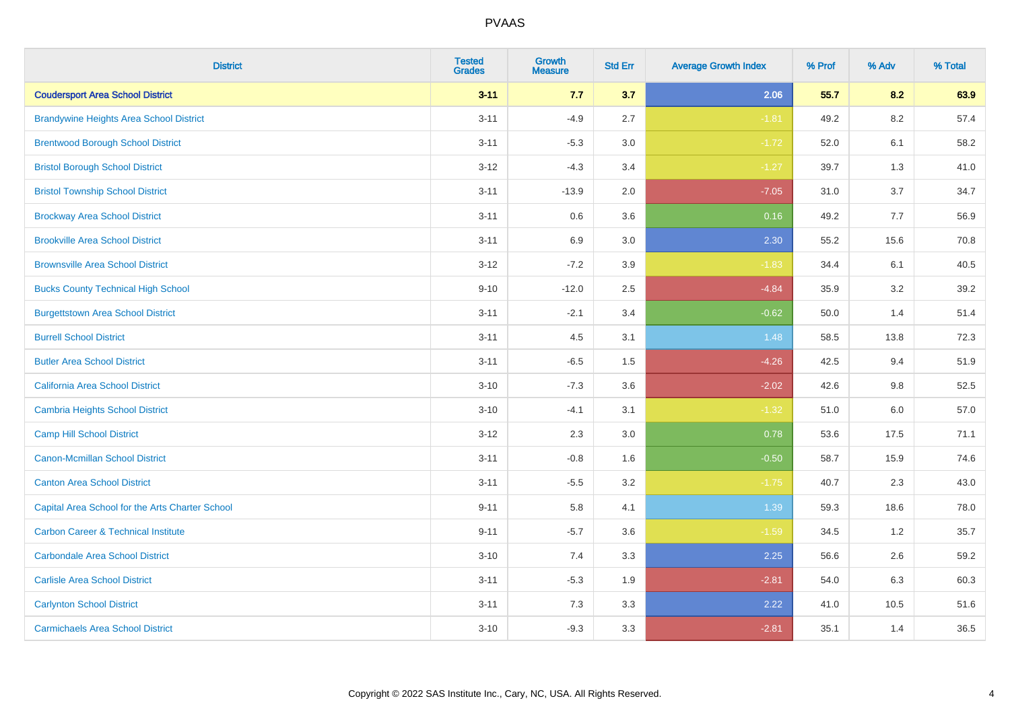| <b>District</b>                                 | <b>Tested</b><br><b>Grades</b> | <b>Growth</b><br><b>Measure</b> | <b>Std Err</b> | <b>Average Growth Index</b> | % Prof | % Adv   | % Total |
|-------------------------------------------------|--------------------------------|---------------------------------|----------------|-----------------------------|--------|---------|---------|
| <b>Coudersport Area School District</b>         | $3 - 11$                       | 7.7                             | 3.7            | 2.06                        | 55.7   | 8.2     | 63.9    |
| <b>Brandywine Heights Area School District</b>  | $3 - 11$                       | $-4.9$                          | 2.7            | $-1.81$                     | 49.2   | $8.2\,$ | 57.4    |
| <b>Brentwood Borough School District</b>        | $3 - 11$                       | $-5.3$                          | 3.0            | $-1.72$                     | 52.0   | 6.1     | 58.2    |
| <b>Bristol Borough School District</b>          | $3 - 12$                       | $-4.3$                          | 3.4            | $-1.27$                     | 39.7   | 1.3     | 41.0    |
| <b>Bristol Township School District</b>         | $3 - 11$                       | $-13.9$                         | 2.0            | $-7.05$                     | 31.0   | 3.7     | 34.7    |
| <b>Brockway Area School District</b>            | $3 - 11$                       | 0.6                             | 3.6            | 0.16                        | 49.2   | 7.7     | 56.9    |
| <b>Brookville Area School District</b>          | $3 - 11$                       | 6.9                             | 3.0            | 2.30                        | 55.2   | 15.6    | 70.8    |
| <b>Brownsville Area School District</b>         | $3 - 12$                       | $-7.2$                          | 3.9            | $-1.83$                     | 34.4   | 6.1     | 40.5    |
| <b>Bucks County Technical High School</b>       | $9 - 10$                       | $-12.0$                         | 2.5            | $-4.84$                     | 35.9   | 3.2     | 39.2    |
| <b>Burgettstown Area School District</b>        | $3 - 11$                       | $-2.1$                          | 3.4            | $-0.62$                     | 50.0   | 1.4     | 51.4    |
| <b>Burrell School District</b>                  | $3 - 11$                       | 4.5                             | 3.1            | 1.48                        | 58.5   | 13.8    | 72.3    |
| <b>Butler Area School District</b>              | $3 - 11$                       | $-6.5$                          | 1.5            | $-4.26$                     | 42.5   | 9.4     | 51.9    |
| California Area School District                 | $3 - 10$                       | $-7.3$                          | 3.6            | $-2.02$                     | 42.6   | $9.8\,$ | 52.5    |
| <b>Cambria Heights School District</b>          | $3 - 10$                       | $-4.1$                          | 3.1            | $-1.32$                     | 51.0   | 6.0     | 57.0    |
| <b>Camp Hill School District</b>                | $3 - 12$                       | 2.3                             | 3.0            | 0.78                        | 53.6   | 17.5    | 71.1    |
| <b>Canon-Mcmillan School District</b>           | $3 - 11$                       | $-0.8$                          | 1.6            | $-0.50$                     | 58.7   | 15.9    | 74.6    |
| <b>Canton Area School District</b>              | $3 - 11$                       | $-5.5$                          | 3.2            | $-1.75$                     | 40.7   | 2.3     | 43.0    |
| Capital Area School for the Arts Charter School | $9 - 11$                       | 5.8                             | 4.1            | 1.39                        | 59.3   | 18.6    | 78.0    |
| <b>Carbon Career &amp; Technical Institute</b>  | $9 - 11$                       | $-5.7$                          | 3.6            | $-1.59$                     | 34.5   | 1.2     | 35.7    |
| <b>Carbondale Area School District</b>          | $3 - 10$                       | 7.4                             | 3.3            | 2.25                        | 56.6   | 2.6     | 59.2    |
| <b>Carlisle Area School District</b>            | $3 - 11$                       | $-5.3$                          | 1.9            | $-2.81$                     | 54.0   | 6.3     | 60.3    |
| <b>Carlynton School District</b>                | $3 - 11$                       | 7.3                             | 3.3            | 2.22                        | 41.0   | 10.5    | 51.6    |
| <b>Carmichaels Area School District</b>         | $3 - 10$                       | $-9.3$                          | 3.3            | $-2.81$                     | 35.1   | 1.4     | 36.5    |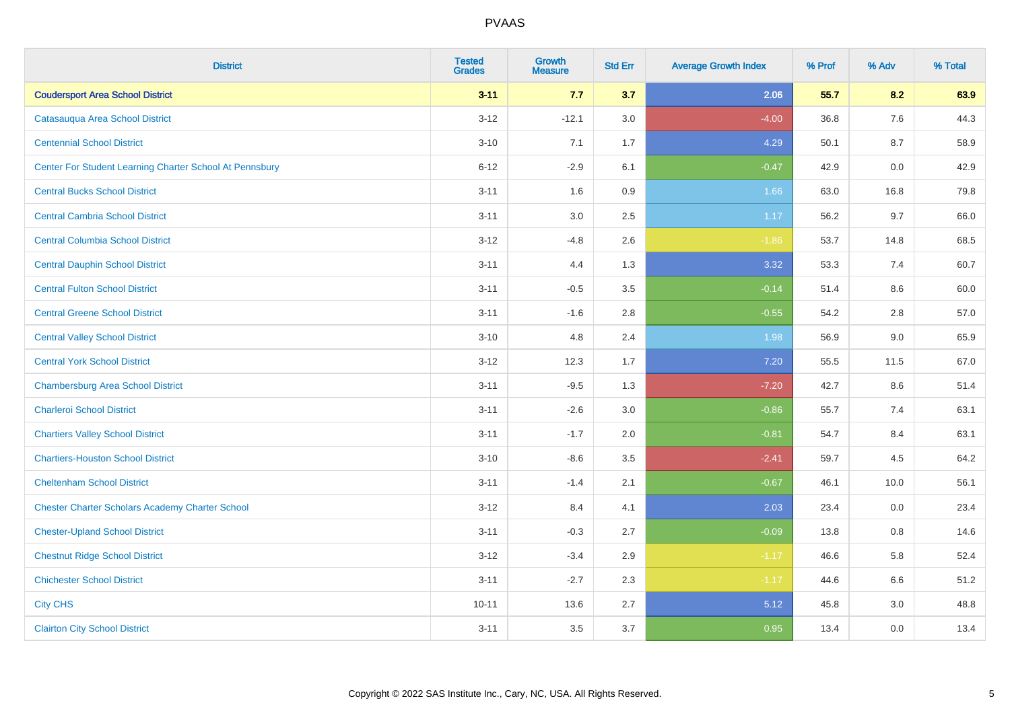| <b>District</b>                                         | <b>Tested</b><br><b>Grades</b> | <b>Growth</b><br><b>Measure</b> | <b>Std Err</b> | <b>Average Growth Index</b> | % Prof | % Adv | % Total |
|---------------------------------------------------------|--------------------------------|---------------------------------|----------------|-----------------------------|--------|-------|---------|
| <b>Coudersport Area School District</b>                 | $3 - 11$                       | 7.7                             | 3.7            | 2.06                        | 55.7   | 8.2   | 63.9    |
| Catasauqua Area School District                         | $3 - 12$                       | $-12.1$                         | 3.0            | $-4.00$                     | 36.8   | 7.6   | 44.3    |
| <b>Centennial School District</b>                       | $3 - 10$                       | 7.1                             | 1.7            | 4.29                        | 50.1   | 8.7   | 58.9    |
| Center For Student Learning Charter School At Pennsbury | $6 - 12$                       | $-2.9$                          | 6.1            | $-0.47$                     | 42.9   | 0.0   | 42.9    |
| <b>Central Bucks School District</b>                    | $3 - 11$                       | 1.6                             | 0.9            | 1.66                        | 63.0   | 16.8  | 79.8    |
| <b>Central Cambria School District</b>                  | $3 - 11$                       | 3.0                             | 2.5            | 1.17                        | 56.2   | 9.7   | 66.0    |
| <b>Central Columbia School District</b>                 | $3 - 12$                       | $-4.8$                          | 2.6            | $-1.86$                     | 53.7   | 14.8  | 68.5    |
| <b>Central Dauphin School District</b>                  | $3 - 11$                       | 4.4                             | 1.3            | 3.32                        | 53.3   | 7.4   | 60.7    |
| <b>Central Fulton School District</b>                   | $3 - 11$                       | $-0.5$                          | $3.5\,$        | $-0.14$                     | 51.4   | 8.6   | 60.0    |
| <b>Central Greene School District</b>                   | $3 - 11$                       | $-1.6$                          | 2.8            | $-0.55$                     | 54.2   | 2.8   | 57.0    |
| <b>Central Valley School District</b>                   | $3 - 10$                       | 4.8                             | 2.4            | 1.98                        | 56.9   | 9.0   | 65.9    |
| <b>Central York School District</b>                     | $3-12$                         | 12.3                            | 1.7            | 7.20                        | 55.5   | 11.5  | 67.0    |
| <b>Chambersburg Area School District</b>                | $3 - 11$                       | $-9.5$                          | 1.3            | $-7.20$                     | 42.7   | 8.6   | 51.4    |
| <b>Charleroi School District</b>                        | $3 - 11$                       | $-2.6$                          | 3.0            | $-0.86$                     | 55.7   | 7.4   | 63.1    |
| <b>Chartiers Valley School District</b>                 | $3 - 11$                       | $-1.7$                          | 2.0            | $-0.81$                     | 54.7   | 8.4   | 63.1    |
| <b>Chartiers-Houston School District</b>                | $3 - 10$                       | $-8.6$                          | 3.5            | $-2.41$                     | 59.7   | 4.5   | 64.2    |
| <b>Cheltenham School District</b>                       | $3 - 11$                       | $-1.4$                          | 2.1            | $-0.67$                     | 46.1   | 10.0  | 56.1    |
| <b>Chester Charter Scholars Academy Charter School</b>  | $3 - 12$                       | 8.4                             | 4.1            | 2.03                        | 23.4   | 0.0   | 23.4    |
| <b>Chester-Upland School District</b>                   | $3 - 11$                       | $-0.3$                          | 2.7            | $-0.09$                     | 13.8   | 0.8   | 14.6    |
| <b>Chestnut Ridge School District</b>                   | $3 - 12$                       | $-3.4$                          | 2.9            | $-1.17$                     | 46.6   | 5.8   | 52.4    |
| <b>Chichester School District</b>                       | $3 - 11$                       | $-2.7$                          | 2.3            | $-1.17$                     | 44.6   | 6.6   | 51.2    |
| <b>City CHS</b>                                         | $10 - 11$                      | 13.6                            | 2.7            | 5.12                        | 45.8   | 3.0   | 48.8    |
| <b>Clairton City School District</b>                    | $3 - 11$                       | 3.5                             | 3.7            | 0.95                        | 13.4   | 0.0   | 13.4    |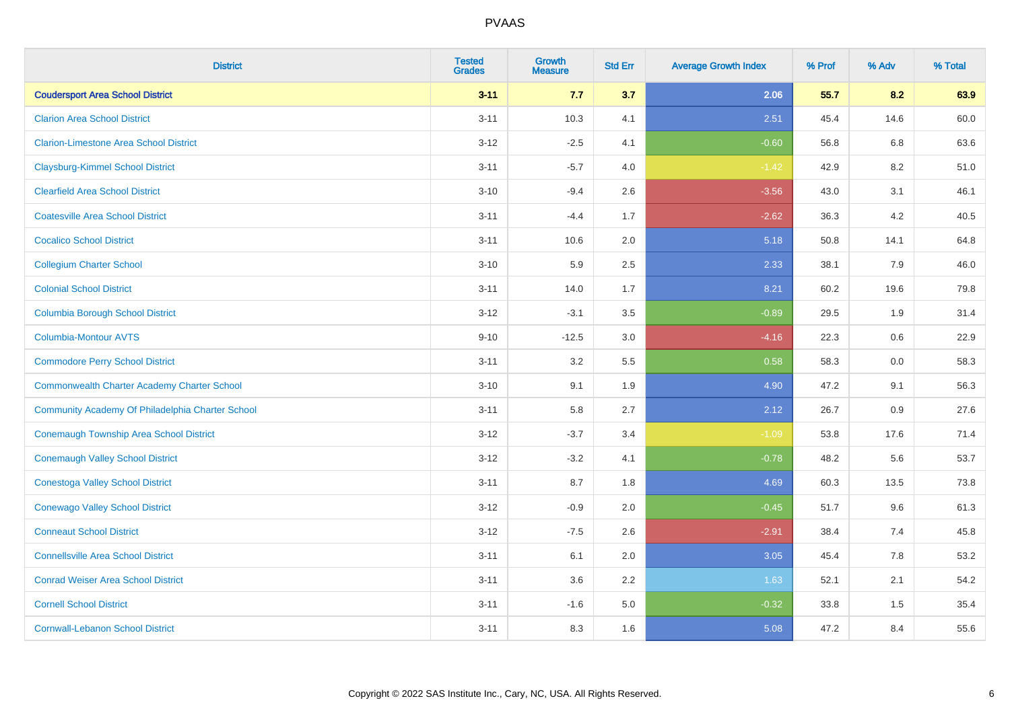| <b>District</b>                                    | <b>Tested</b><br><b>Grades</b> | <b>Growth</b><br><b>Measure</b> | <b>Std Err</b> | <b>Average Growth Index</b> | % Prof | % Adv | % Total |
|----------------------------------------------------|--------------------------------|---------------------------------|----------------|-----------------------------|--------|-------|---------|
| <b>Coudersport Area School District</b>            | $3 - 11$                       | 7.7                             | 3.7            | 2.06                        | 55.7   | 8.2   | 63.9    |
| <b>Clarion Area School District</b>                | $3 - 11$                       | 10.3                            | 4.1            | 2.51                        | 45.4   | 14.6  | 60.0    |
| <b>Clarion-Limestone Area School District</b>      | $3 - 12$                       | $-2.5$                          | 4.1            | $-0.60$                     | 56.8   | 6.8   | 63.6    |
| <b>Claysburg-Kimmel School District</b>            | $3 - 11$                       | $-5.7$                          | 4.0            | $-1.42$                     | 42.9   | 8.2   | 51.0    |
| <b>Clearfield Area School District</b>             | $3 - 10$                       | $-9.4$                          | 2.6            | $-3.56$                     | 43.0   | 3.1   | 46.1    |
| <b>Coatesville Area School District</b>            | $3 - 11$                       | $-4.4$                          | 1.7            | $-2.62$                     | 36.3   | 4.2   | 40.5    |
| <b>Cocalico School District</b>                    | $3 - 11$                       | 10.6                            | 2.0            | 5.18                        | 50.8   | 14.1  | 64.8    |
| <b>Collegium Charter School</b>                    | $3 - 10$                       | 5.9                             | 2.5            | 2.33                        | 38.1   | 7.9   | 46.0    |
| <b>Colonial School District</b>                    | $3 - 11$                       | 14.0                            | 1.7            | 8.21                        | 60.2   | 19.6  | 79.8    |
| <b>Columbia Borough School District</b>            | $3 - 12$                       | $-3.1$                          | 3.5            | $-0.89$                     | 29.5   | 1.9   | 31.4    |
| <b>Columbia-Montour AVTS</b>                       | $9 - 10$                       | $-12.5$                         | 3.0            | $-4.16$                     | 22.3   | 0.6   | 22.9    |
| <b>Commodore Perry School District</b>             | $3 - 11$                       | 3.2                             | 5.5            | 0.58                        | 58.3   | 0.0   | 58.3    |
| <b>Commonwealth Charter Academy Charter School</b> | $3 - 10$                       | 9.1                             | 1.9            | 4.90                        | 47.2   | 9.1   | 56.3    |
| Community Academy Of Philadelphia Charter School   | $3 - 11$                       | 5.8                             | 2.7            | 2.12                        | 26.7   | 0.9   | 27.6    |
| Conemaugh Township Area School District            | $3 - 12$                       | $-3.7$                          | 3.4            | $-1.09$                     | 53.8   | 17.6  | 71.4    |
| <b>Conemaugh Valley School District</b>            | $3 - 12$                       | $-3.2$                          | 4.1            | $-0.78$                     | 48.2   | 5.6   | 53.7    |
| <b>Conestoga Valley School District</b>            | $3 - 11$                       | 8.7                             | 1.8            | 4.69                        | 60.3   | 13.5  | 73.8    |
| <b>Conewago Valley School District</b>             | $3 - 12$                       | $-0.9$                          | 2.0            | $-0.45$                     | 51.7   | 9.6   | 61.3    |
| <b>Conneaut School District</b>                    | $3 - 12$                       | $-7.5$                          | 2.6            | $-2.91$                     | 38.4   | 7.4   | 45.8    |
| <b>Connellsville Area School District</b>          | $3 - 11$                       | 6.1                             | 2.0            | 3.05                        | 45.4   | 7.8   | 53.2    |
| <b>Conrad Weiser Area School District</b>          | $3 - 11$                       | 3.6                             | 2.2            | 1.63                        | 52.1   | 2.1   | 54.2    |
| <b>Cornell School District</b>                     | $3 - 11$                       | $-1.6$                          | 5.0            | $-0.32$                     | 33.8   | 1.5   | 35.4    |
| <b>Cornwall-Lebanon School District</b>            | $3 - 11$                       | 8.3                             | 1.6            | 5.08                        | 47.2   | 8.4   | 55.6    |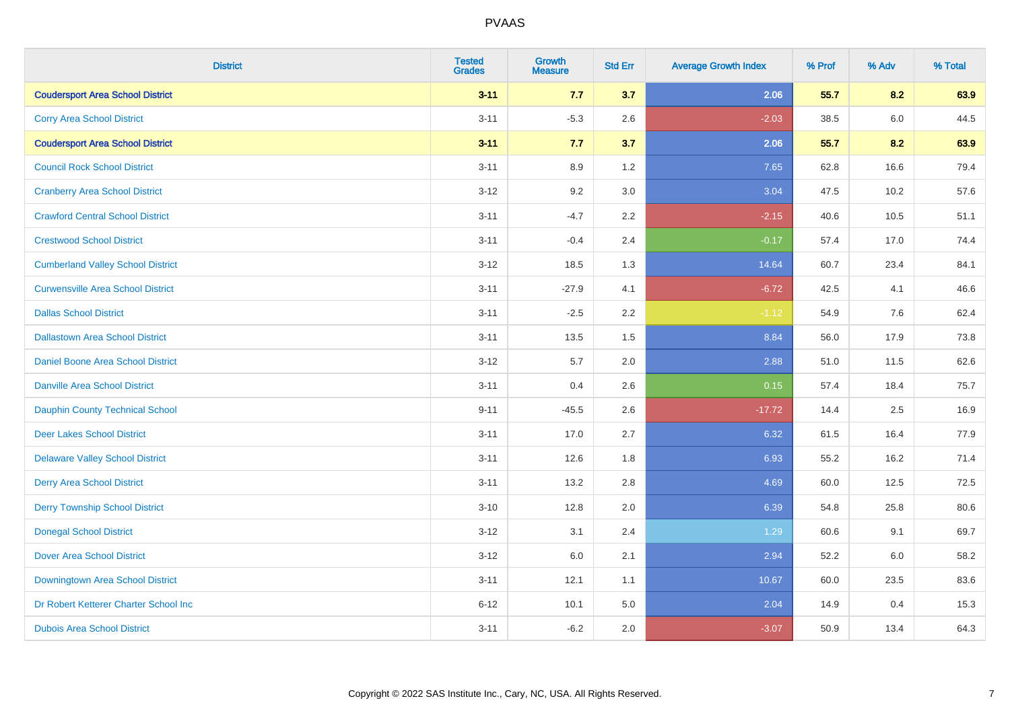| <b>District</b>                          | <b>Tested</b><br><b>Grades</b> | <b>Growth</b><br><b>Measure</b> | <b>Std Err</b> | <b>Average Growth Index</b> | % Prof | % Adv   | % Total |
|------------------------------------------|--------------------------------|---------------------------------|----------------|-----------------------------|--------|---------|---------|
| <b>Coudersport Area School District</b>  | $3 - 11$                       | 7.7                             | 3.7            | 2.06                        | 55.7   | 8.2     | 63.9    |
| <b>Corry Area School District</b>        | $3 - 11$                       | $-5.3$                          | 2.6            | $-2.03$                     | 38.5   | $6.0\,$ | 44.5    |
| <b>Coudersport Area School District</b>  | $3 - 11$                       | 7.7                             | 3.7            | 2.06                        | 55.7   | 8.2     | 63.9    |
| <b>Council Rock School District</b>      | $3 - 11$                       | 8.9                             | 1.2            | 7.65                        | 62.8   | 16.6    | 79.4    |
| <b>Cranberry Area School District</b>    | $3-12$                         | 9.2                             | 3.0            | 3.04                        | 47.5   | 10.2    | 57.6    |
| <b>Crawford Central School District</b>  | $3 - 11$                       | $-4.7$                          | 2.2            | $-2.15$                     | 40.6   | 10.5    | 51.1    |
| <b>Crestwood School District</b>         | $3 - 11$                       | $-0.4$                          | 2.4            | $-0.17$                     | 57.4   | 17.0    | 74.4    |
| <b>Cumberland Valley School District</b> | $3 - 12$                       | 18.5                            | 1.3            | 14.64                       | 60.7   | 23.4    | 84.1    |
| <b>Curwensville Area School District</b> | $3 - 11$                       | $-27.9$                         | 4.1            | $-6.72$                     | 42.5   | 4.1     | 46.6    |
| <b>Dallas School District</b>            | $3 - 11$                       | $-2.5$                          | 2.2            | $-1.12$                     | 54.9   | 7.6     | 62.4    |
| <b>Dallastown Area School District</b>   | $3 - 11$                       | 13.5                            | 1.5            | 8.84                        | 56.0   | 17.9    | 73.8    |
| <b>Daniel Boone Area School District</b> | $3 - 12$                       | 5.7                             | 2.0            | 2.88                        | 51.0   | 11.5    | 62.6    |
| <b>Danville Area School District</b>     | $3 - 11$                       | 0.4                             | 2.6            | 0.15                        | 57.4   | 18.4    | 75.7    |
| Dauphin County Technical School          | $9 - 11$                       | $-45.5$                         | 2.6            | $-17.72$                    | 14.4   | 2.5     | 16.9    |
| <b>Deer Lakes School District</b>        | $3 - 11$                       | 17.0                            | 2.7            | 6.32                        | 61.5   | 16.4    | 77.9    |
| <b>Delaware Valley School District</b>   | $3 - 11$                       | 12.6                            | 1.8            | 6.93                        | 55.2   | 16.2    | 71.4    |
| <b>Derry Area School District</b>        | $3 - 11$                       | 13.2                            | 2.8            | 4.69                        | 60.0   | 12.5    | 72.5    |
| <b>Derry Township School District</b>    | $3 - 10$                       | 12.8                            | 2.0            | 6.39                        | 54.8   | 25.8    | 80.6    |
| <b>Donegal School District</b>           | $3-12$                         | 3.1                             | 2.4            | 1.29                        | 60.6   | 9.1     | 69.7    |
| <b>Dover Area School District</b>        | $3 - 12$                       | 6.0                             | 2.1            | 2.94                        | 52.2   | 6.0     | 58.2    |
| Downingtown Area School District         | $3 - 11$                       | 12.1                            | 1.1            | 10.67                       | 60.0   | 23.5    | 83.6    |
| Dr Robert Ketterer Charter School Inc    | $6 - 12$                       | 10.1                            | 5.0            | 2.04                        | 14.9   | 0.4     | 15.3    |
| <b>Dubois Area School District</b>       | $3 - 11$                       | $-6.2$                          | 2.0            | $-3.07$                     | 50.9   | 13.4    | 64.3    |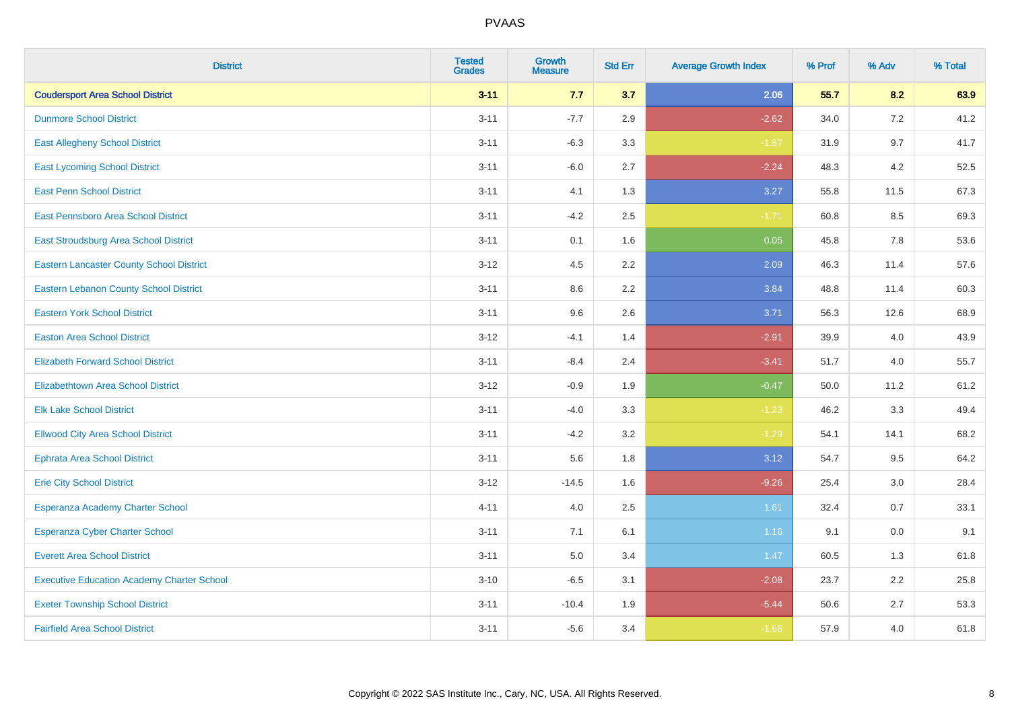| <b>District</b>                                   | <b>Tested</b><br><b>Grades</b> | <b>Growth</b><br><b>Measure</b> | <b>Std Err</b> | <b>Average Growth Index</b> | % Prof | % Adv | % Total |
|---------------------------------------------------|--------------------------------|---------------------------------|----------------|-----------------------------|--------|-------|---------|
| <b>Coudersport Area School District</b>           | $3 - 11$                       | 7.7                             | 3.7            | 2.06                        | 55.7   | 8.2   | 63.9    |
| <b>Dunmore School District</b>                    | $3 - 11$                       | $-7.7$                          | 2.9            | $-2.62$                     | 34.0   | $7.2$ | 41.2    |
| <b>East Allegheny School District</b>             | $3 - 11$                       | $-6.3$                          | 3.3            | $-1.87$                     | 31.9   | 9.7   | 41.7    |
| <b>East Lycoming School District</b>              | $3 - 11$                       | $-6.0$                          | 2.7            | $-2.24$                     | 48.3   | 4.2   | 52.5    |
| <b>East Penn School District</b>                  | $3 - 11$                       | 4.1                             | 1.3            | 3.27                        | 55.8   | 11.5  | 67.3    |
| <b>East Pennsboro Area School District</b>        | $3 - 11$                       | $-4.2$                          | 2.5            | $-1.71$                     | 60.8   | 8.5   | 69.3    |
| East Stroudsburg Area School District             | $3 - 11$                       | 0.1                             | 1.6            | 0.05                        | 45.8   | 7.8   | 53.6    |
| <b>Eastern Lancaster County School District</b>   | $3 - 12$                       | 4.5                             | 2.2            | 2.09                        | 46.3   | 11.4  | 57.6    |
| <b>Eastern Lebanon County School District</b>     | $3 - 11$                       | 8.6                             | 2.2            | 3.84                        | 48.8   | 11.4  | 60.3    |
| <b>Eastern York School District</b>               | $3 - 11$                       | 9.6                             | 2.6            | 3.71                        | 56.3   | 12.6  | 68.9    |
| <b>Easton Area School District</b>                | $3 - 12$                       | $-4.1$                          | 1.4            | $-2.91$                     | 39.9   | 4.0   | 43.9    |
| <b>Elizabeth Forward School District</b>          | $3 - 11$                       | $-8.4$                          | 2.4            | $-3.41$                     | 51.7   | 4.0   | 55.7    |
| <b>Elizabethtown Area School District</b>         | $3 - 12$                       | $-0.9$                          | 1.9            | $-0.47$                     | 50.0   | 11.2  | 61.2    |
| <b>Elk Lake School District</b>                   | $3 - 11$                       | $-4.0$                          | 3.3            | $-1.23$                     | 46.2   | 3.3   | 49.4    |
| <b>Ellwood City Area School District</b>          | $3 - 11$                       | $-4.2$                          | 3.2            | $-1.29$                     | 54.1   | 14.1  | 68.2    |
| <b>Ephrata Area School District</b>               | $3 - 11$                       | 5.6                             | 1.8            | 3.12                        | 54.7   | 9.5   | 64.2    |
| <b>Erie City School District</b>                  | $3 - 12$                       | $-14.5$                         | 1.6            | $-9.26$                     | 25.4   | 3.0   | 28.4    |
| Esperanza Academy Charter School                  | $4 - 11$                       | 4.0                             | 2.5            | 1.61                        | 32.4   | 0.7   | 33.1    |
| <b>Esperanza Cyber Charter School</b>             | $3 - 11$                       | 7.1                             | 6.1            | 1.16                        | 9.1    | 0.0   | 9.1     |
| <b>Everett Area School District</b>               | $3 - 11$                       | 5.0                             | 3.4            | 1.47                        | 60.5   | 1.3   | 61.8    |
| <b>Executive Education Academy Charter School</b> | $3 - 10$                       | $-6.5$                          | 3.1            | $-2.08$                     | 23.7   | 2.2   | 25.8    |
| <b>Exeter Township School District</b>            | $3 - 11$                       | $-10.4$                         | 1.9            | $-5.44$                     | 50.6   | 2.7   | 53.3    |
| <b>Fairfield Area School District</b>             | $3 - 11$                       | $-5.6$                          | 3.4            | $-1.66$                     | 57.9   | 4.0   | 61.8    |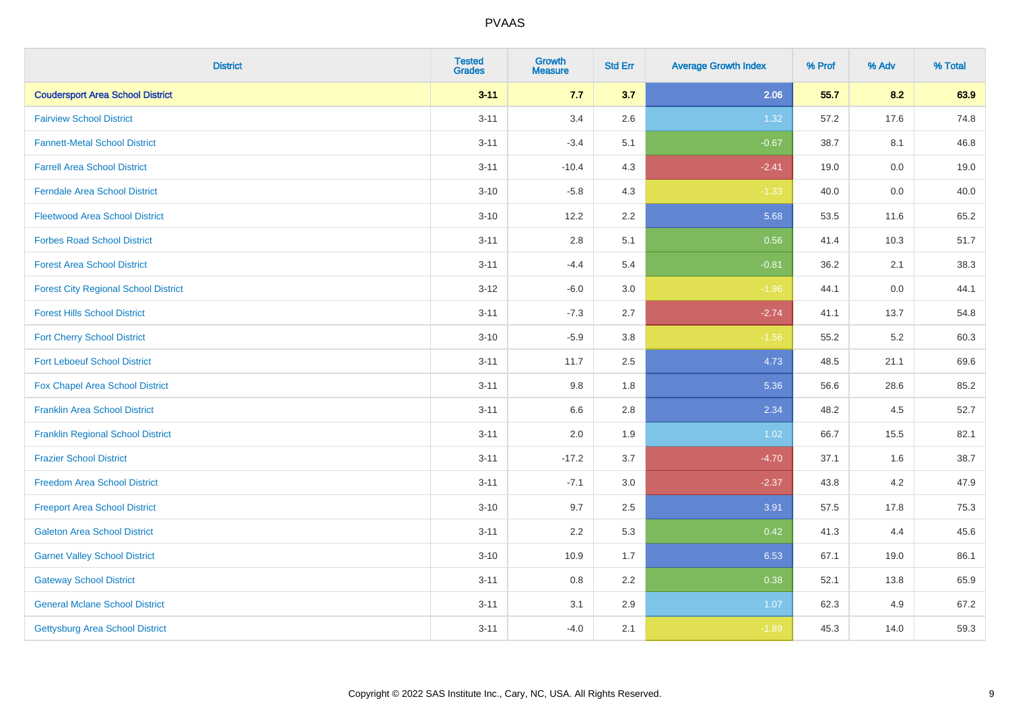| <b>District</b>                             | <b>Tested</b><br><b>Grades</b> | <b>Growth</b><br><b>Measure</b> | <b>Std Err</b> | <b>Average Growth Index</b> | % Prof | % Adv   | % Total |
|---------------------------------------------|--------------------------------|---------------------------------|----------------|-----------------------------|--------|---------|---------|
| <b>Coudersport Area School District</b>     | $3 - 11$                       | 7.7                             | 3.7            | 2.06                        | 55.7   | 8.2     | 63.9    |
| <b>Fairview School District</b>             | $3 - 11$                       | 3.4                             | 2.6            | 1.32                        | 57.2   | 17.6    | 74.8    |
| <b>Fannett-Metal School District</b>        | $3 - 11$                       | $-3.4$                          | 5.1            | $-0.67$                     | 38.7   | 8.1     | 46.8    |
| <b>Farrell Area School District</b>         | $3 - 11$                       | $-10.4$                         | 4.3            | $-2.41$                     | 19.0   | $0.0\,$ | 19.0    |
| <b>Ferndale Area School District</b>        | $3 - 10$                       | $-5.8$                          | 4.3            | $-1.33$                     | 40.0   | 0.0     | 40.0    |
| <b>Fleetwood Area School District</b>       | $3 - 10$                       | 12.2                            | 2.2            | 5.68                        | 53.5   | 11.6    | 65.2    |
| <b>Forbes Road School District</b>          | $3 - 11$                       | 2.8                             | 5.1            | 0.56                        | 41.4   | 10.3    | 51.7    |
| <b>Forest Area School District</b>          | $3 - 11$                       | $-4.4$                          | 5.4            | $-0.81$                     | 36.2   | 2.1     | 38.3    |
| <b>Forest City Regional School District</b> | $3 - 12$                       | $-6.0$                          | 3.0            | $-1.96$                     | 44.1   | $0.0\,$ | 44.1    |
| <b>Forest Hills School District</b>         | $3 - 11$                       | $-7.3$                          | 2.7            | $-2.74$                     | 41.1   | 13.7    | 54.8    |
| <b>Fort Cherry School District</b>          | $3 - 10$                       | $-5.9$                          | 3.8            | $-1.56$                     | 55.2   | $5.2\,$ | 60.3    |
| <b>Fort Leboeuf School District</b>         | $3 - 11$                       | 11.7                            | 2.5            | 4.73                        | 48.5   | 21.1    | 69.6    |
| Fox Chapel Area School District             | $3 - 11$                       | 9.8                             | 1.8            | 5.36                        | 56.6   | 28.6    | 85.2    |
| <b>Franklin Area School District</b>        | $3 - 11$                       | 6.6                             | 2.8            | 2.34                        | 48.2   | 4.5     | 52.7    |
| <b>Franklin Regional School District</b>    | $3 - 11$                       | 2.0                             | 1.9            | 1.02                        | 66.7   | 15.5    | 82.1    |
| <b>Frazier School District</b>              | $3 - 11$                       | $-17.2$                         | 3.7            | $-4.70$                     | 37.1   | 1.6     | 38.7    |
| <b>Freedom Area School District</b>         | $3 - 11$                       | $-7.1$                          | 3.0            | $-2.37$                     | 43.8   | $4.2\,$ | 47.9    |
| <b>Freeport Area School District</b>        | $3 - 10$                       | 9.7                             | 2.5            | 3.91                        | 57.5   | 17.8    | 75.3    |
| <b>Galeton Area School District</b>         | $3 - 11$                       | 2.2                             | 5.3            | 0.42                        | 41.3   | 4.4     | 45.6    |
| <b>Garnet Valley School District</b>        | $3 - 10$                       | 10.9                            | 1.7            | 6.53                        | 67.1   | 19.0    | 86.1    |
| <b>Gateway School District</b>              | $3 - 11$                       | 0.8                             | 2.2            | 0.38                        | 52.1   | 13.8    | 65.9    |
| <b>General Mclane School District</b>       | $3 - 11$                       | 3.1                             | 2.9            | 1.07                        | 62.3   | 4.9     | 67.2    |
| <b>Gettysburg Area School District</b>      | $3 - 11$                       | $-4.0$                          | 2.1            | $-1.89$                     | 45.3   | 14.0    | 59.3    |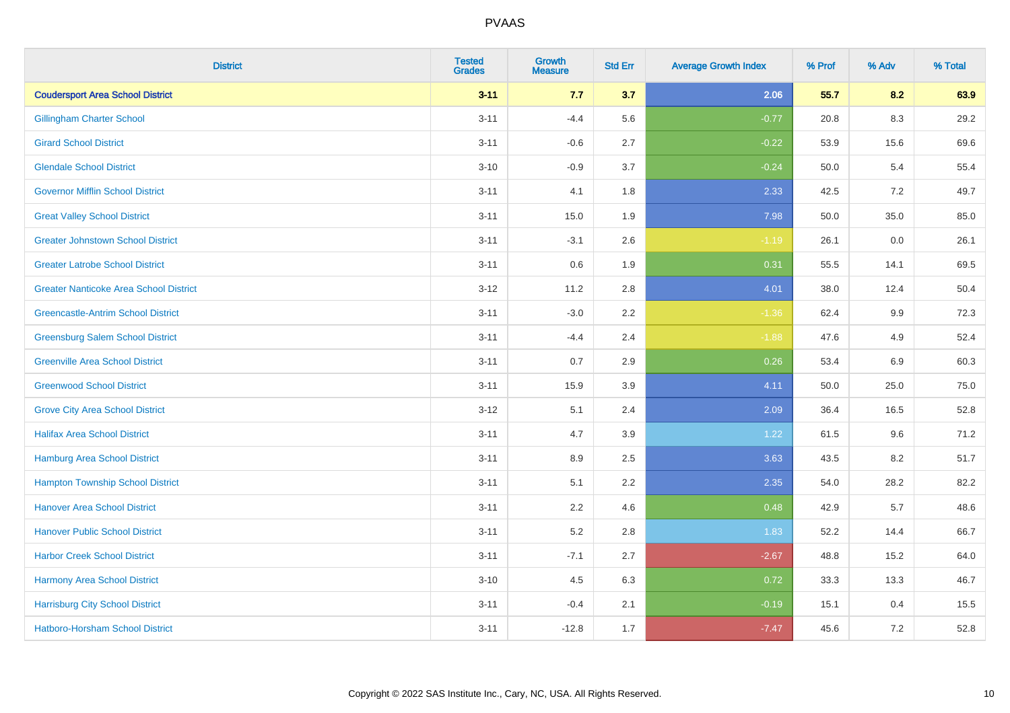| <b>District</b>                               | <b>Tested</b><br><b>Grades</b> | <b>Growth</b><br><b>Measure</b> | <b>Std Err</b> | <b>Average Growth Index</b> | % Prof | % Adv   | % Total |
|-----------------------------------------------|--------------------------------|---------------------------------|----------------|-----------------------------|--------|---------|---------|
| <b>Coudersport Area School District</b>       | $3 - 11$                       | 7.7                             | 3.7            | 2.06                        | 55.7   | 8.2     | 63.9    |
| <b>Gillingham Charter School</b>              | $3 - 11$                       | $-4.4$                          | 5.6            | $-0.77$                     | 20.8   | 8.3     | 29.2    |
| <b>Girard School District</b>                 | $3 - 11$                       | $-0.6$                          | 2.7            | $-0.22$                     | 53.9   | 15.6    | 69.6    |
| <b>Glendale School District</b>               | $3 - 10$                       | $-0.9$                          | 3.7            | $-0.24$                     | 50.0   | 5.4     | 55.4    |
| <b>Governor Mifflin School District</b>       | $3 - 11$                       | 4.1                             | 1.8            | 2.33                        | 42.5   | 7.2     | 49.7    |
| <b>Great Valley School District</b>           | $3 - 11$                       | 15.0                            | 1.9            | 7.98                        | 50.0   | 35.0    | 85.0    |
| <b>Greater Johnstown School District</b>      | $3 - 11$                       | $-3.1$                          | 2.6            | $-1.19$                     | 26.1   | $0.0\,$ | 26.1    |
| <b>Greater Latrobe School District</b>        | $3 - 11$                       | 0.6                             | 1.9            | 0.31                        | 55.5   | 14.1    | 69.5    |
| <b>Greater Nanticoke Area School District</b> | $3-12$                         | 11.2                            | 2.8            | 4.01                        | 38.0   | 12.4    | 50.4    |
| <b>Greencastle-Antrim School District</b>     | $3 - 11$                       | $-3.0$                          | $2.2\,$        | $-1.36$                     | 62.4   | 9.9     | 72.3    |
| <b>Greensburg Salem School District</b>       | $3 - 11$                       | $-4.4$                          | 2.4            | $-1.88$                     | 47.6   | 4.9     | 52.4    |
| <b>Greenville Area School District</b>        | $3 - 11$                       | 0.7                             | 2.9            | 0.26                        | 53.4   | 6.9     | 60.3    |
| <b>Greenwood School District</b>              | $3 - 11$                       | 15.9                            | 3.9            | 4.11                        | 50.0   | 25.0    | 75.0    |
| <b>Grove City Area School District</b>        | $3 - 12$                       | 5.1                             | 2.4            | 2.09                        | 36.4   | 16.5    | 52.8    |
| <b>Halifax Area School District</b>           | $3 - 11$                       | 4.7                             | 3.9            | 1.22                        | 61.5   | 9.6     | 71.2    |
| <b>Hamburg Area School District</b>           | $3 - 11$                       | 8.9                             | 2.5            | 3.63                        | 43.5   | 8.2     | 51.7    |
| <b>Hampton Township School District</b>       | $3 - 11$                       | 5.1                             | 2.2            | 2.35                        | 54.0   | 28.2    | 82.2    |
| <b>Hanover Area School District</b>           | $3 - 11$                       | 2.2                             | 4.6            | 0.48                        | 42.9   | 5.7     | 48.6    |
| <b>Hanover Public School District</b>         | $3 - 11$                       | 5.2                             | 2.8            | 1.83                        | 52.2   | 14.4    | 66.7    |
| <b>Harbor Creek School District</b>           | $3 - 11$                       | $-7.1$                          | 2.7            | $-2.67$                     | 48.8   | 15.2    | 64.0    |
| Harmony Area School District                  | $3 - 10$                       | 4.5                             | 6.3            | 0.72                        | 33.3   | 13.3    | 46.7    |
| <b>Harrisburg City School District</b>        | $3 - 11$                       | $-0.4$                          | 2.1            | $-0.19$                     | 15.1   | 0.4     | 15.5    |
| Hatboro-Horsham School District               | $3 - 11$                       | $-12.8$                         | 1.7            | $-7.47$                     | 45.6   | $7.2\,$ | 52.8    |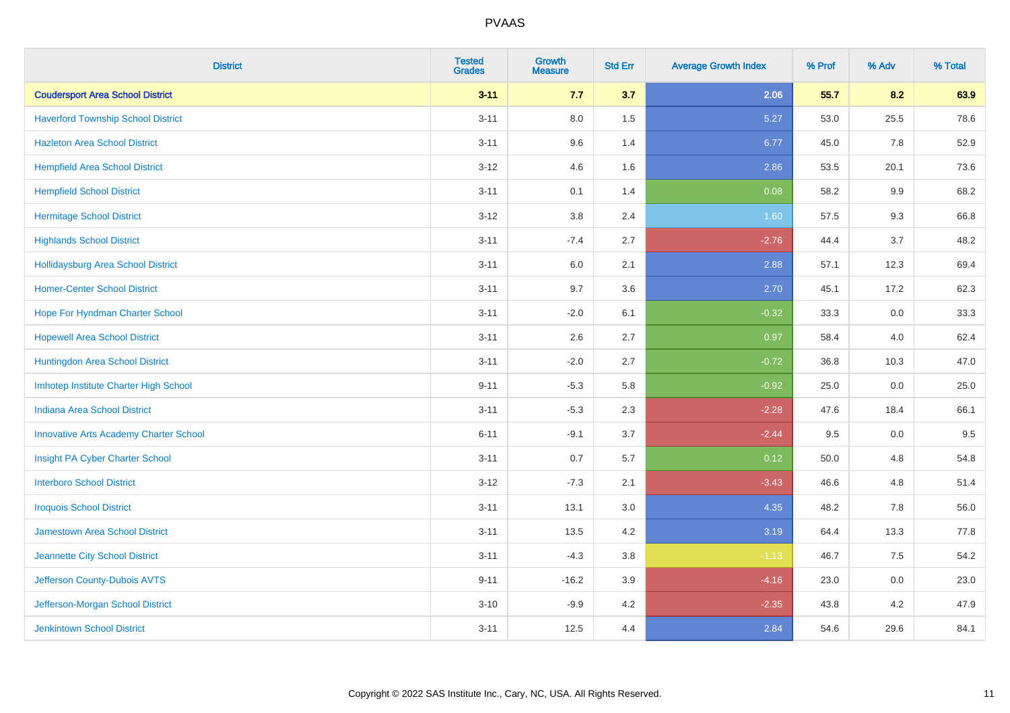| <b>District</b>                               | <b>Tested</b><br><b>Grades</b> | <b>Growth</b><br><b>Measure</b> | <b>Std Err</b> | <b>Average Growth Index</b> | % Prof | % Adv   | % Total |
|-----------------------------------------------|--------------------------------|---------------------------------|----------------|-----------------------------|--------|---------|---------|
| <b>Coudersport Area School District</b>       | $3 - 11$                       | 7.7                             | 3.7            | 2.06                        | 55.7   | 8.2     | 63.9    |
| <b>Haverford Township School District</b>     | $3 - 11$                       | $8.0\,$                         | 1.5            | 5.27                        | 53.0   | 25.5    | 78.6    |
| <b>Hazleton Area School District</b>          | $3 - 11$                       | 9.6                             | 1.4            | 6.77                        | 45.0   | 7.8     | 52.9    |
| <b>Hempfield Area School District</b>         | $3 - 12$                       | 4.6                             | 1.6            | 2.86                        | 53.5   | 20.1    | 73.6    |
| <b>Hempfield School District</b>              | $3 - 11$                       | 0.1                             | 1.4            | 0.08                        | 58.2   | 9.9     | 68.2    |
| <b>Hermitage School District</b>              | $3 - 12$                       | 3.8                             | 2.4            | 1.60                        | 57.5   | 9.3     | 66.8    |
| <b>Highlands School District</b>              | $3 - 11$                       | $-7.4$                          | 2.7            | $-2.76$                     | 44.4   | 3.7     | 48.2    |
| Hollidaysburg Area School District            | $3 - 11$                       | 6.0                             | 2.1            | 2.88                        | 57.1   | 12.3    | 69.4    |
| <b>Homer-Center School District</b>           | $3 - 11$                       | 9.7                             | 3.6            | 2.70                        | 45.1   | 17.2    | 62.3    |
| Hope For Hyndman Charter School               | $3 - 11$                       | $-2.0$                          | 6.1            | $-0.32$                     | 33.3   | 0.0     | 33.3    |
| <b>Hopewell Area School District</b>          | $3 - 11$                       | 2.6                             | 2.7            | 0.97                        | 58.4   | 4.0     | 62.4    |
| Huntingdon Area School District               | $3 - 11$                       | $-2.0$                          | 2.7            | $-0.72$                     | 36.8   | 10.3    | 47.0    |
| Imhotep Institute Charter High School         | $9 - 11$                       | $-5.3$                          | 5.8            | $-0.92$                     | 25.0   | $0.0\,$ | 25.0    |
| Indiana Area School District                  | $3 - 11$                       | $-5.3$                          | 2.3            | $-2.28$                     | 47.6   | 18.4    | 66.1    |
| <b>Innovative Arts Academy Charter School</b> | $6 - 11$                       | $-9.1$                          | 3.7            | $-2.44$                     | 9.5    | $0.0\,$ | 9.5     |
| Insight PA Cyber Charter School               | $3 - 11$                       | 0.7                             | 5.7            | 0.12                        | 50.0   | 4.8     | 54.8    |
| <b>Interboro School District</b>              | $3 - 12$                       | $-7.3$                          | 2.1            | $-3.43$                     | 46.6   | 4.8     | 51.4    |
| <b>Iroquois School District</b>               | $3 - 11$                       | 13.1                            | 3.0            | 4.35                        | 48.2   | 7.8     | 56.0    |
| <b>Jamestown Area School District</b>         | $3 - 11$                       | 13.5                            | 4.2            | 3.19                        | 64.4   | 13.3    | 77.8    |
| Jeannette City School District                | $3 - 11$                       | $-4.3$                          | $3.8\,$        | $-1.13$                     | 46.7   | 7.5     | 54.2    |
| Jefferson County-Dubois AVTS                  | $9 - 11$                       | $-16.2$                         | 3.9            | $-4.16$                     | 23.0   | 0.0     | 23.0    |
| Jefferson-Morgan School District              | $3 - 10$                       | $-9.9$                          | 4.2            | $-2.35$                     | 43.8   | 4.2     | 47.9    |
| <b>Jenkintown School District</b>             | $3 - 11$                       | 12.5                            | 4.4            | 2.84                        | 54.6   | 29.6    | 84.1    |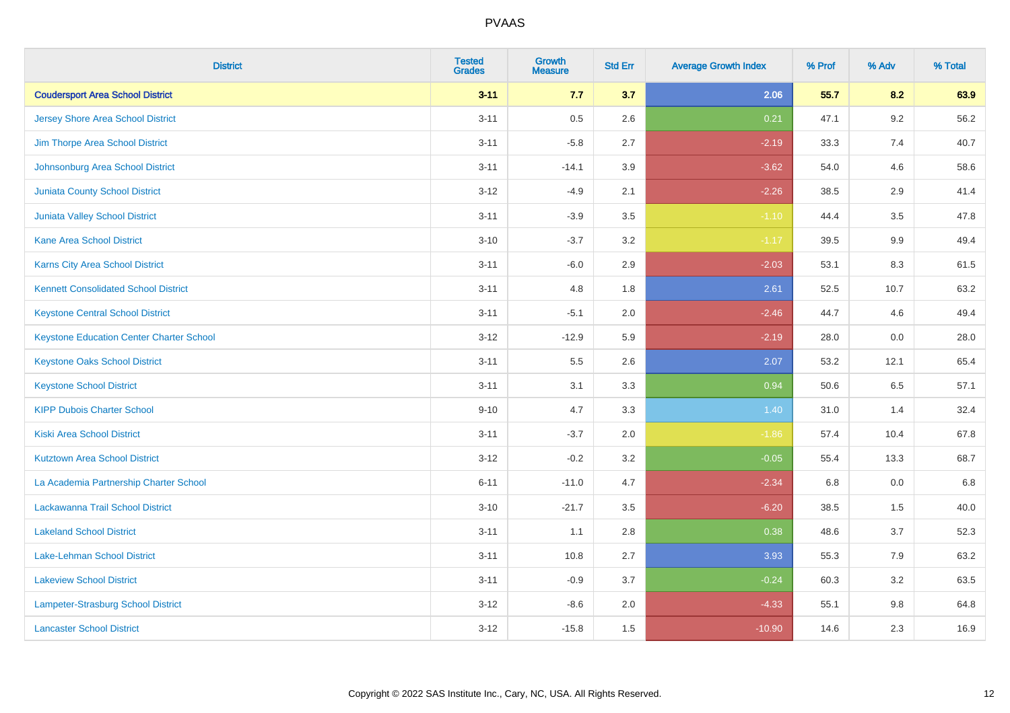| <b>District</b>                                 | <b>Tested</b><br><b>Grades</b> | <b>Growth</b><br><b>Measure</b> | <b>Std Err</b> | <b>Average Growth Index</b> | % Prof | % Adv   | % Total |
|-------------------------------------------------|--------------------------------|---------------------------------|----------------|-----------------------------|--------|---------|---------|
| <b>Coudersport Area School District</b>         | $3 - 11$                       | 7.7                             | 3.7            | 2.06                        | 55.7   | 8.2     | 63.9    |
| <b>Jersey Shore Area School District</b>        | $3 - 11$                       | 0.5                             | 2.6            | 0.21                        | 47.1   | $9.2\,$ | 56.2    |
| Jim Thorpe Area School District                 | $3 - 11$                       | $-5.8$                          | 2.7            | $-2.19$                     | 33.3   | 7.4     | 40.7    |
| Johnsonburg Area School District                | $3 - 11$                       | $-14.1$                         | 3.9            | $-3.62$                     | 54.0   | 4.6     | 58.6    |
| <b>Juniata County School District</b>           | $3 - 12$                       | $-4.9$                          | 2.1            | $-2.26$                     | 38.5   | 2.9     | 41.4    |
| <b>Juniata Valley School District</b>           | $3 - 11$                       | $-3.9$                          | 3.5            | $-1.10$                     | 44.4   | 3.5     | 47.8    |
| <b>Kane Area School District</b>                | $3 - 10$                       | $-3.7$                          | 3.2            | $-1.17$                     | 39.5   | 9.9     | 49.4    |
| <b>Karns City Area School District</b>          | $3 - 11$                       | $-6.0$                          | 2.9            | $-2.03$                     | 53.1   | 8.3     | 61.5    |
| <b>Kennett Consolidated School District</b>     | $3 - 11$                       | 4.8                             | 1.8            | 2.61                        | 52.5   | 10.7    | 63.2    |
| <b>Keystone Central School District</b>         | $3 - 11$                       | $-5.1$                          | 2.0            | $-2.46$                     | 44.7   | 4.6     | 49.4    |
| <b>Keystone Education Center Charter School</b> | $3-12$                         | $-12.9$                         | 5.9            | $-2.19$                     | 28.0   | 0.0     | 28.0    |
| <b>Keystone Oaks School District</b>            | $3 - 11$                       | 5.5                             | 2.6            | 2.07                        | 53.2   | 12.1    | 65.4    |
| <b>Keystone School District</b>                 | $3 - 11$                       | 3.1                             | 3.3            | 0.94                        | 50.6   | 6.5     | 57.1    |
| <b>KIPP Dubois Charter School</b>               | $9 - 10$                       | 4.7                             | 3.3            | 1.40                        | 31.0   | 1.4     | 32.4    |
| <b>Kiski Area School District</b>               | $3 - 11$                       | $-3.7$                          | 2.0            | $-1.86$                     | 57.4   | 10.4    | 67.8    |
| <b>Kutztown Area School District</b>            | $3 - 12$                       | $-0.2$                          | 3.2            | $-0.05$                     | 55.4   | 13.3    | 68.7    |
| La Academia Partnership Charter School          | $6 - 11$                       | $-11.0$                         | 4.7            | $-2.34$                     | 6.8    | $0.0\,$ | 6.8     |
| Lackawanna Trail School District                | $3 - 10$                       | $-21.7$                         | 3.5            | $-6.20$                     | 38.5   | 1.5     | 40.0    |
| <b>Lakeland School District</b>                 | $3 - 11$                       | 1.1                             | 2.8            | 0.38                        | 48.6   | 3.7     | 52.3    |
| Lake-Lehman School District                     | $3 - 11$                       | 10.8                            | 2.7            | 3.93                        | 55.3   | 7.9     | 63.2    |
| <b>Lakeview School District</b>                 | $3 - 11$                       | $-0.9$                          | 3.7            | $-0.24$                     | 60.3   | 3.2     | 63.5    |
| Lampeter-Strasburg School District              | $3 - 12$                       | $-8.6$                          | 2.0            | $-4.33$                     | 55.1   | $9.8\,$ | 64.8    |
| <b>Lancaster School District</b>                | $3-12$                         | $-15.8$                         | 1.5            | $-10.90$                    | 14.6   | 2.3     | 16.9    |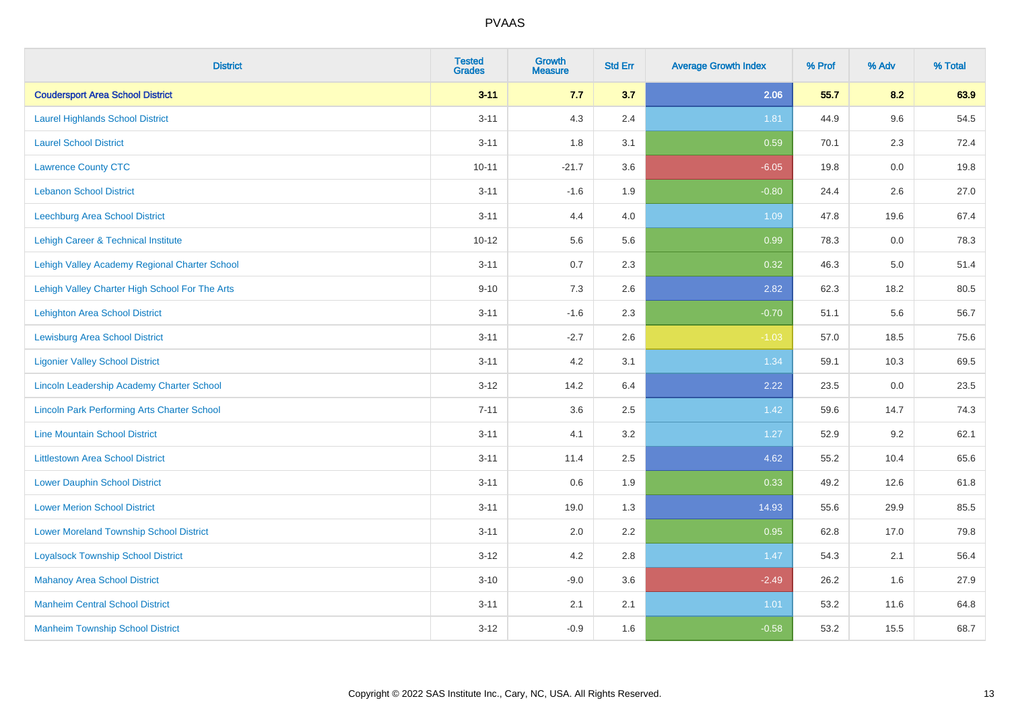| <b>District</b>                                    | <b>Tested</b><br><b>Grades</b> | <b>Growth</b><br><b>Measure</b> | <b>Std Err</b> | <b>Average Growth Index</b> | % Prof | % Adv   | % Total |
|----------------------------------------------------|--------------------------------|---------------------------------|----------------|-----------------------------|--------|---------|---------|
| <b>Coudersport Area School District</b>            | $3 - 11$                       | 7.7                             | 3.7            | 2.06                        | 55.7   | 8.2     | 63.9    |
| <b>Laurel Highlands School District</b>            | $3 - 11$                       | 4.3                             | 2.4            | 1.81                        | 44.9   | 9.6     | 54.5    |
| <b>Laurel School District</b>                      | $3 - 11$                       | 1.8                             | 3.1            | 0.59                        | 70.1   | 2.3     | 72.4    |
| <b>Lawrence County CTC</b>                         | $10 - 11$                      | $-21.7$                         | 3.6            | $-6.05$                     | 19.8   | $0.0\,$ | 19.8    |
| <b>Lebanon School District</b>                     | $3 - 11$                       | $-1.6$                          | 1.9            | $-0.80$                     | 24.4   | 2.6     | 27.0    |
| Leechburg Area School District                     | $3 - 11$                       | 4.4                             | 4.0            | 1.09                        | 47.8   | 19.6    | 67.4    |
| Lehigh Career & Technical Institute                | $10 - 12$                      | 5.6                             | 5.6            | 0.99                        | 78.3   | 0.0     | 78.3    |
| Lehigh Valley Academy Regional Charter School      | $3 - 11$                       | 0.7                             | 2.3            | 0.32                        | 46.3   | 5.0     | 51.4    |
| Lehigh Valley Charter High School For The Arts     | $9 - 10$                       | 7.3                             | 2.6            | 2.82                        | 62.3   | 18.2    | 80.5    |
| Lehighton Area School District                     | $3 - 11$                       | $-1.6$                          | 2.3            | $-0.70$                     | 51.1   | 5.6     | 56.7    |
| <b>Lewisburg Area School District</b>              | $3 - 11$                       | $-2.7$                          | 2.6            | $-1.03$                     | 57.0   | 18.5    | 75.6    |
| <b>Ligonier Valley School District</b>             | $3 - 11$                       | 4.2                             | 3.1            | 1.34                        | 59.1   | 10.3    | 69.5    |
| Lincoln Leadership Academy Charter School          | $3 - 12$                       | 14.2                            | 6.4            | 2.22                        | 23.5   | $0.0\,$ | 23.5    |
| <b>Lincoln Park Performing Arts Charter School</b> | $7 - 11$                       | 3.6                             | 2.5            | 1.42                        | 59.6   | 14.7    | 74.3    |
| <b>Line Mountain School District</b>               | $3 - 11$                       | 4.1                             | 3.2            | 1.27                        | 52.9   | 9.2     | 62.1    |
| <b>Littlestown Area School District</b>            | $3 - 11$                       | 11.4                            | 2.5            | 4.62                        | 55.2   | 10.4    | 65.6    |
| <b>Lower Dauphin School District</b>               | $3 - 11$                       | 0.6                             | 1.9            | 0.33                        | 49.2   | 12.6    | 61.8    |
| <b>Lower Merion School District</b>                | $3 - 11$                       | 19.0                            | 1.3            | 14.93                       | 55.6   | 29.9    | 85.5    |
| <b>Lower Moreland Township School District</b>     | $3 - 11$                       | 2.0                             | 2.2            | 0.95                        | 62.8   | 17.0    | 79.8    |
| <b>Loyalsock Township School District</b>          | $3 - 12$                       | 4.2                             | 2.8            | 1.47                        | 54.3   | 2.1     | 56.4    |
| <b>Mahanoy Area School District</b>                | $3 - 10$                       | $-9.0$                          | 3.6            | $-2.49$                     | 26.2   | 1.6     | 27.9    |
| <b>Manheim Central School District</b>             | $3 - 11$                       | 2.1                             | 2.1            | 1.01                        | 53.2   | 11.6    | 64.8    |
| <b>Manheim Township School District</b>            | $3 - 12$                       | $-0.9$                          | 1.6            | $-0.58$                     | 53.2   | 15.5    | 68.7    |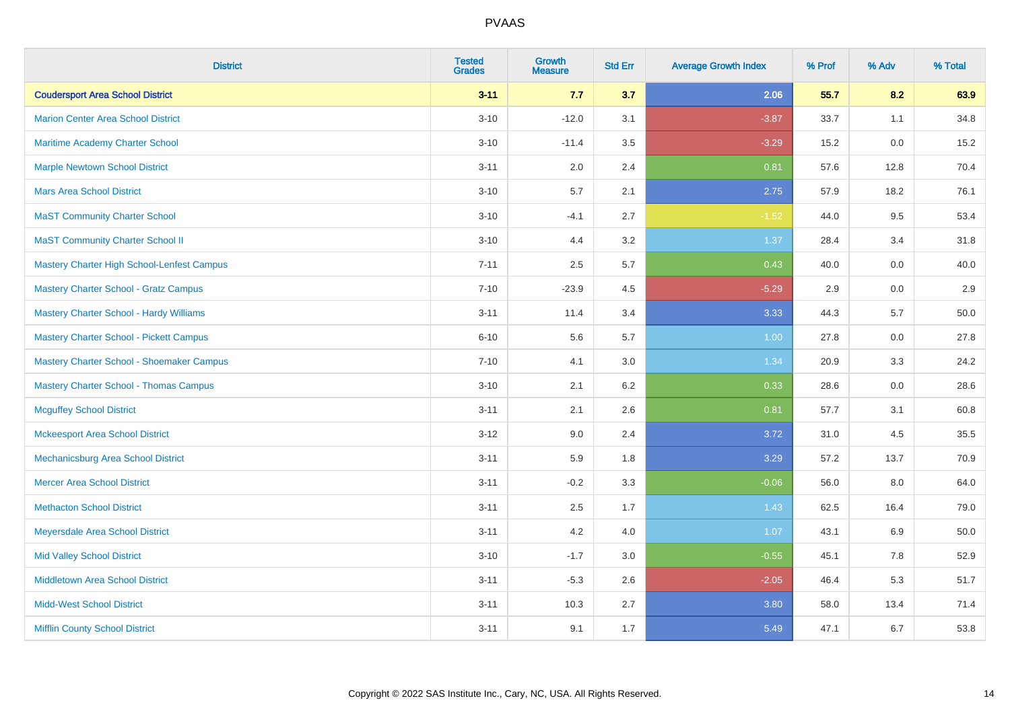| <b>District</b>                                   | <b>Tested</b><br><b>Grades</b> | Growth<br><b>Measure</b> | <b>Std Err</b> | <b>Average Growth Index</b> | % Prof | % Adv | % Total |
|---------------------------------------------------|--------------------------------|--------------------------|----------------|-----------------------------|--------|-------|---------|
| <b>Coudersport Area School District</b>           | $3 - 11$                       | 7.7                      | 3.7            | 2.06                        | 55.7   | 8.2   | 63.9    |
| <b>Marion Center Area School District</b>         | $3 - 10$                       | $-12.0$                  | 3.1            | $-3.87$                     | 33.7   | 1.1   | 34.8    |
| Maritime Academy Charter School                   | $3 - 10$                       | $-11.4$                  | 3.5            | $-3.29$                     | 15.2   | 0.0   | 15.2    |
| <b>Marple Newtown School District</b>             | $3 - 11$                       | 2.0                      | 2.4            | 0.81                        | 57.6   | 12.8  | 70.4    |
| <b>Mars Area School District</b>                  | $3 - 10$                       | 5.7                      | 2.1            | 2.75                        | 57.9   | 18.2  | 76.1    |
| <b>MaST Community Charter School</b>              | $3 - 10$                       | $-4.1$                   | 2.7            | $-1.52$                     | 44.0   | 9.5   | 53.4    |
| <b>MaST Community Charter School II</b>           | $3 - 10$                       | 4.4                      | 3.2            | 1.37                        | 28.4   | 3.4   | 31.8    |
| <b>Mastery Charter High School-Lenfest Campus</b> | $7 - 11$                       | 2.5                      | 5.7            | 0.43                        | 40.0   | 0.0   | 40.0    |
| <b>Mastery Charter School - Gratz Campus</b>      | $7 - 10$                       | $-23.9$                  | 4.5            | $-5.29$                     | 2.9    | 0.0   | 2.9     |
| Mastery Charter School - Hardy Williams           | $3 - 11$                       | 11.4                     | 3.4            | 3.33                        | 44.3   | 5.7   | 50.0    |
| Mastery Charter School - Pickett Campus           | $6 - 10$                       | 5.6                      | 5.7            | 1.00                        | 27.8   | 0.0   | 27.8    |
| Mastery Charter School - Shoemaker Campus         | $7 - 10$                       | 4.1                      | 3.0            | 1.34                        | 20.9   | 3.3   | 24.2    |
| <b>Mastery Charter School - Thomas Campus</b>     | $3 - 10$                       | 2.1                      | 6.2            | 0.33                        | 28.6   | 0.0   | 28.6    |
| <b>Mcguffey School District</b>                   | $3 - 11$                       | 2.1                      | 2.6            | 0.81                        | 57.7   | 3.1   | 60.8    |
| <b>Mckeesport Area School District</b>            | $3-12$                         | 9.0                      | 2.4            | 3.72                        | 31.0   | 4.5   | 35.5    |
| <b>Mechanicsburg Area School District</b>         | $3 - 11$                       | 5.9                      | 1.8            | 3.29                        | 57.2   | 13.7  | 70.9    |
| <b>Mercer Area School District</b>                | $3 - 11$                       | $-0.2$                   | 3.3            | $-0.06$                     | 56.0   | 8.0   | 64.0    |
| <b>Methacton School District</b>                  | $3 - 11$                       | 2.5                      | 1.7            | 1.43                        | 62.5   | 16.4  | 79.0    |
| <b>Meyersdale Area School District</b>            | $3 - 11$                       | 4.2                      | 4.0            | 1.07                        | 43.1   | 6.9   | 50.0    |
| <b>Mid Valley School District</b>                 | $3 - 10$                       | $-1.7$                   | 3.0            | $-0.55$                     | 45.1   | 7.8   | 52.9    |
| <b>Middletown Area School District</b>            | $3 - 11$                       | $-5.3$                   | 2.6            | $-2.05$                     | 46.4   | 5.3   | 51.7    |
| <b>Midd-West School District</b>                  | $3 - 11$                       | 10.3                     | 2.7            | 3.80                        | 58.0   | 13.4  | 71.4    |
| <b>Mifflin County School District</b>             | $3 - 11$                       | 9.1                      | 1.7            | 5.49                        | 47.1   | 6.7   | 53.8    |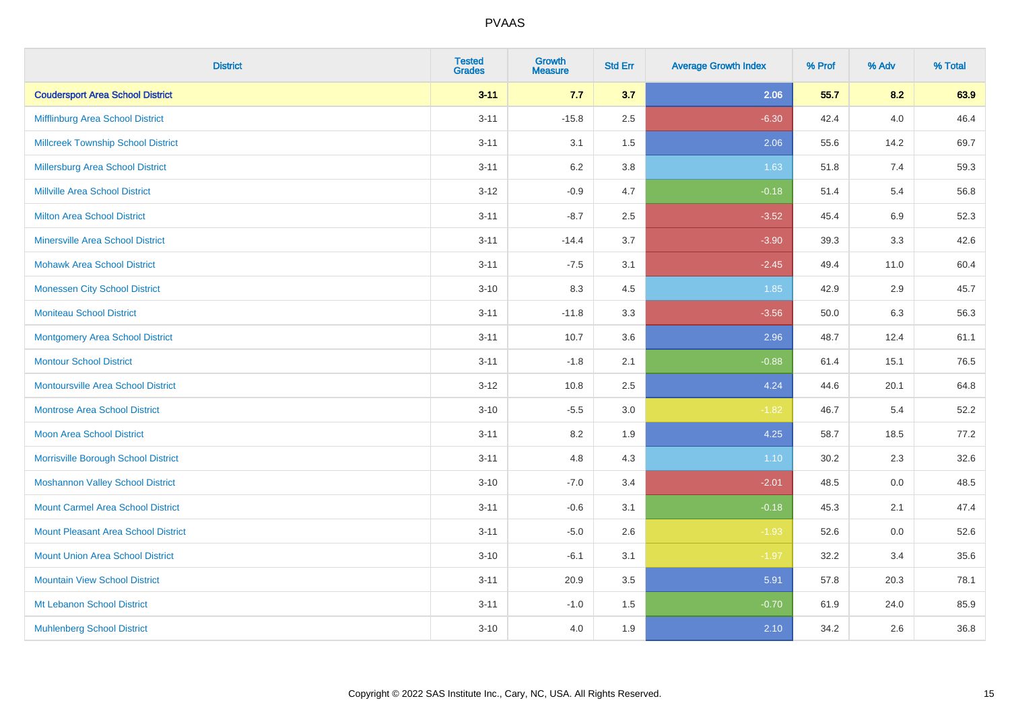| <b>District</b>                           | <b>Tested</b><br><b>Grades</b> | <b>Growth</b><br><b>Measure</b> | <b>Std Err</b> | <b>Average Growth Index</b> | % Prof | % Adv   | % Total |
|-------------------------------------------|--------------------------------|---------------------------------|----------------|-----------------------------|--------|---------|---------|
| <b>Coudersport Area School District</b>   | $3 - 11$                       | 7.7                             | 3.7            | 2.06                        | 55.7   | 8.2     | 63.9    |
| Mifflinburg Area School District          | $3 - 11$                       | $-15.8$                         | 2.5            | $-6.30$                     | 42.4   | 4.0     | 46.4    |
| <b>Millcreek Township School District</b> | $3 - 11$                       | 3.1                             | 1.5            | 2.06                        | 55.6   | 14.2    | 69.7    |
| Millersburg Area School District          | $3 - 11$                       | 6.2                             | 3.8            | 1.63                        | 51.8   | 7.4     | 59.3    |
| <b>Millville Area School District</b>     | $3 - 12$                       | $-0.9$                          | 4.7            | $-0.18$                     | 51.4   | 5.4     | 56.8    |
| <b>Milton Area School District</b>        | $3 - 11$                       | $-8.7$                          | 2.5            | $-3.52$                     | 45.4   | 6.9     | 52.3    |
| <b>Minersville Area School District</b>   | $3 - 11$                       | $-14.4$                         | 3.7            | $-3.90$                     | 39.3   | 3.3     | 42.6    |
| <b>Mohawk Area School District</b>        | $3 - 11$                       | $-7.5$                          | 3.1            | $-2.45$                     | 49.4   | 11.0    | 60.4    |
| <b>Monessen City School District</b>      | $3 - 10$                       | 8.3                             | 4.5            | 1.85                        | 42.9   | 2.9     | 45.7    |
| <b>Moniteau School District</b>           | $3 - 11$                       | $-11.8$                         | 3.3            | $-3.56$                     | 50.0   | 6.3     | 56.3    |
| Montgomery Area School District           | $3 - 11$                       | 10.7                            | 3.6            | 2.96                        | 48.7   | 12.4    | 61.1    |
| <b>Montour School District</b>            | $3 - 11$                       | $-1.8$                          | 2.1            | $-0.88$                     | 61.4   | 15.1    | 76.5    |
| <b>Montoursville Area School District</b> | $3 - 12$                       | 10.8                            | 2.5            | 4.24                        | 44.6   | 20.1    | 64.8    |
| <b>Montrose Area School District</b>      | $3 - 10$                       | $-5.5$                          | $3.0\,$        | $-1.82$                     | 46.7   | 5.4     | 52.2    |
| Moon Area School District                 | $3 - 11$                       | 8.2                             | 1.9            | 4.25                        | 58.7   | 18.5    | 77.2    |
| Morrisville Borough School District       | $3 - 11$                       | 4.8                             | 4.3            | 1.10                        | 30.2   | 2.3     | 32.6    |
| <b>Moshannon Valley School District</b>   | $3 - 10$                       | $-7.0$                          | 3.4            | $-2.01$                     | 48.5   | $0.0\,$ | 48.5    |
| <b>Mount Carmel Area School District</b>  | $3 - 11$                       | $-0.6$                          | 3.1            | $-0.18$                     | 45.3   | 2.1     | 47.4    |
| Mount Pleasant Area School District       | $3 - 11$                       | $-5.0$                          | 2.6            | $-1.93$                     | 52.6   | 0.0     | 52.6    |
| <b>Mount Union Area School District</b>   | $3 - 10$                       | $-6.1$                          | 3.1            | $-1.97$                     | 32.2   | 3.4     | 35.6    |
| <b>Mountain View School District</b>      | $3 - 11$                       | 20.9                            | 3.5            | 5.91                        | 57.8   | 20.3    | 78.1    |
| Mt Lebanon School District                | $3 - 11$                       | $-1.0$                          | 1.5            | $-0.70$                     | 61.9   | 24.0    | 85.9    |
| <b>Muhlenberg School District</b>         | $3 - 10$                       | 4.0                             | 1.9            | 2.10                        | 34.2   | 2.6     | 36.8    |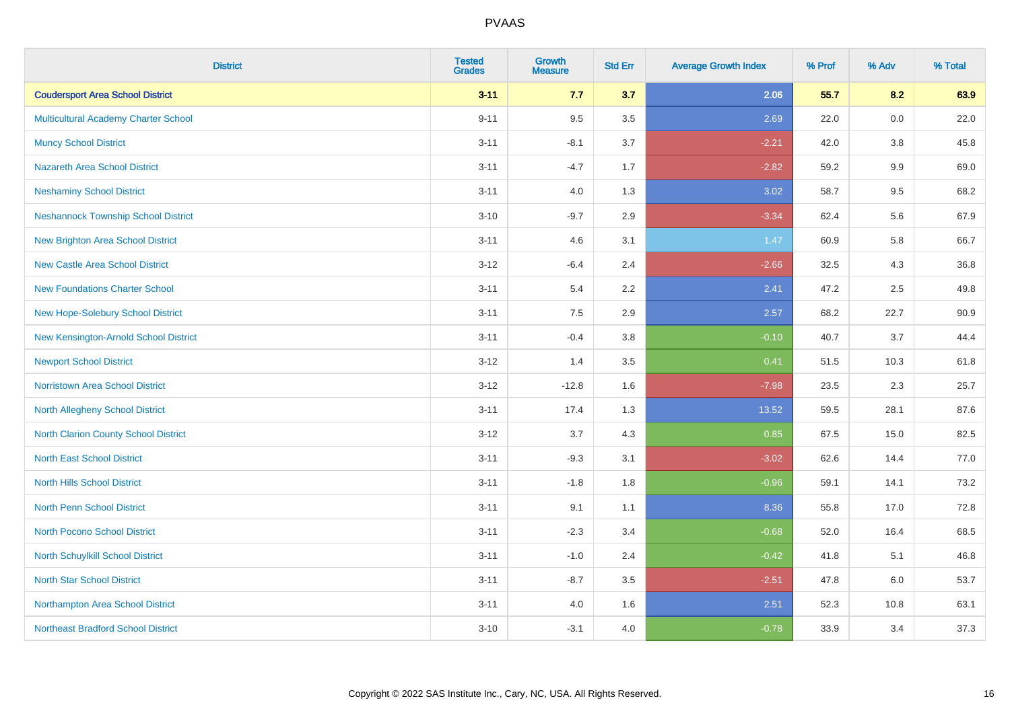| <b>District</b>                             | <b>Tested</b><br><b>Grades</b> | <b>Growth</b><br><b>Measure</b> | <b>Std Err</b> | <b>Average Growth Index</b> | % Prof | % Adv   | % Total |
|---------------------------------------------|--------------------------------|---------------------------------|----------------|-----------------------------|--------|---------|---------|
| <b>Coudersport Area School District</b>     | $3 - 11$                       | 7.7                             | 3.7            | 2.06                        | 55.7   | 8.2     | 63.9    |
| Multicultural Academy Charter School        | $9 - 11$                       | 9.5                             | 3.5            | 2.69                        | 22.0   | 0.0     | 22.0    |
| <b>Muncy School District</b>                | $3 - 11$                       | $-8.1$                          | 3.7            | $-2.21$                     | 42.0   | 3.8     | 45.8    |
| <b>Nazareth Area School District</b>        | $3 - 11$                       | $-4.7$                          | 1.7            | $-2.82$                     | 59.2   | $9.9\,$ | 69.0    |
| <b>Neshaminy School District</b>            | $3 - 11$                       | 4.0                             | 1.3            | 3.02                        | 58.7   | 9.5     | 68.2    |
| <b>Neshannock Township School District</b>  | $3 - 10$                       | $-9.7$                          | 2.9            | $-3.34$                     | 62.4   | 5.6     | 67.9    |
| <b>New Brighton Area School District</b>    | $3 - 11$                       | 4.6                             | 3.1            | 1.47                        | 60.9   | 5.8     | 66.7    |
| <b>New Castle Area School District</b>      | $3 - 12$                       | $-6.4$                          | 2.4            | $-2.66$                     | 32.5   | 4.3     | 36.8    |
| <b>New Foundations Charter School</b>       | $3 - 11$                       | 5.4                             | 2.2            | 2.41                        | 47.2   | 2.5     | 49.8    |
| New Hope-Solebury School District           | $3 - 11$                       | 7.5                             | 2.9            | 2.57                        | 68.2   | 22.7    | 90.9    |
| New Kensington-Arnold School District       | $3 - 11$                       | $-0.4$                          | 3.8            | $-0.10$                     | 40.7   | 3.7     | 44.4    |
| <b>Newport School District</b>              | $3 - 12$                       | 1.4                             | 3.5            | 0.41                        | 51.5   | 10.3    | 61.8    |
| Norristown Area School District             | $3-12$                         | $-12.8$                         | 1.6            | $-7.98$                     | 23.5   | 2.3     | 25.7    |
| <b>North Allegheny School District</b>      | $3 - 11$                       | 17.4                            | 1.3            | 13.52                       | 59.5   | 28.1    | 87.6    |
| <b>North Clarion County School District</b> | $3 - 12$                       | 3.7                             | 4.3            | 0.85                        | 67.5   | 15.0    | 82.5    |
| <b>North East School District</b>           | $3 - 11$                       | $-9.3$                          | 3.1            | $-3.02$                     | 62.6   | 14.4    | 77.0    |
| <b>North Hills School District</b>          | $3 - 11$                       | $-1.8$                          | 1.8            | $-0.96$                     | 59.1   | 14.1    | 73.2    |
| <b>North Penn School District</b>           | $3 - 11$                       | 9.1                             | 1.1            | 8.36                        | 55.8   | 17.0    | 72.8    |
| North Pocono School District                | $3 - 11$                       | $-2.3$                          | 3.4            | $-0.68$                     | 52.0   | 16.4    | 68.5    |
| North Schuylkill School District            | $3 - 11$                       | $-1.0$                          | 2.4            | $-0.42$                     | 41.8   | 5.1     | 46.8    |
| <b>North Star School District</b>           | $3 - 11$                       | $-8.7$                          | 3.5            | $-2.51$                     | 47.8   | 6.0     | 53.7    |
| Northampton Area School District            | $3 - 11$                       | 4.0                             | 1.6            | 2.51                        | 52.3   | 10.8    | 63.1    |
| <b>Northeast Bradford School District</b>   | $3 - 10$                       | $-3.1$                          | 4.0            | $-0.78$                     | 33.9   | 3.4     | 37.3    |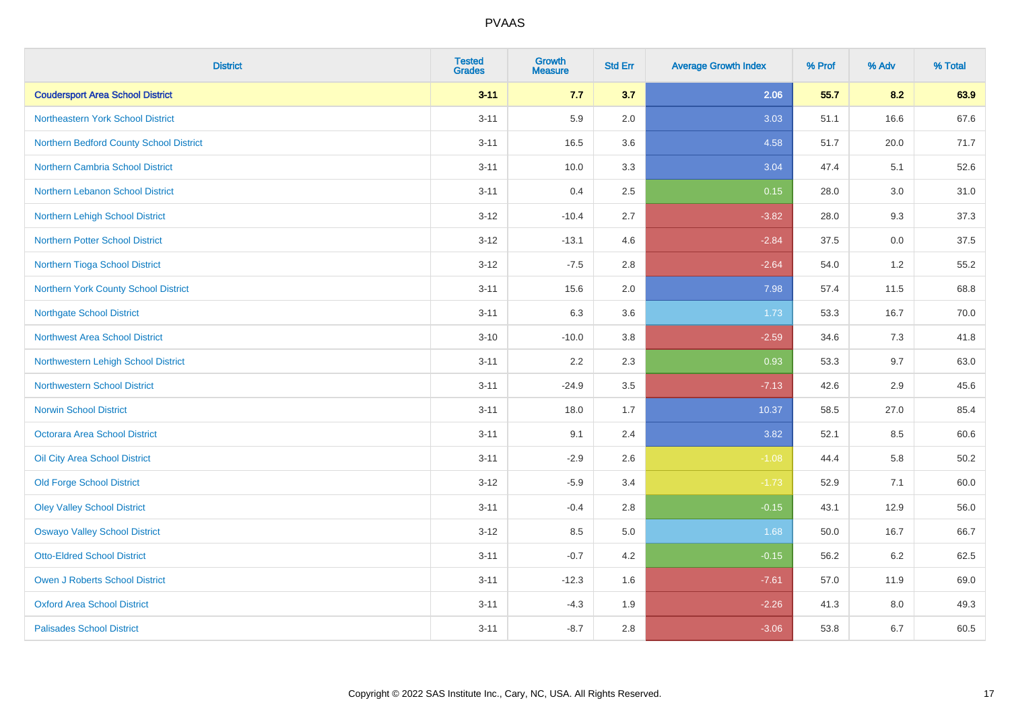| <b>District</b>                         | <b>Tested</b><br><b>Grades</b> | <b>Growth</b><br><b>Measure</b> | <b>Std Err</b> | <b>Average Growth Index</b> | % Prof | % Adv | % Total |
|-----------------------------------------|--------------------------------|---------------------------------|----------------|-----------------------------|--------|-------|---------|
| <b>Coudersport Area School District</b> | $3 - 11$                       | 7.7                             | 3.7            | 2.06                        | 55.7   | 8.2   | 63.9    |
| Northeastern York School District       | $3 - 11$                       | 5.9                             | 2.0            | 3.03                        | 51.1   | 16.6  | 67.6    |
| Northern Bedford County School District | $3 - 11$                       | 16.5                            | 3.6            | 4.58                        | 51.7   | 20.0  | 71.7    |
| Northern Cambria School District        | $3 - 11$                       | 10.0                            | 3.3            | 3.04                        | 47.4   | 5.1   | 52.6    |
| Northern Lebanon School District        | $3 - 11$                       | 0.4                             | 2.5            | 0.15                        | 28.0   | 3.0   | 31.0    |
| Northern Lehigh School District         | $3-12$                         | $-10.4$                         | 2.7            | $-3.82$                     | 28.0   | 9.3   | 37.3    |
| <b>Northern Potter School District</b>  | $3 - 12$                       | $-13.1$                         | 4.6            | $-2.84$                     | 37.5   | 0.0   | 37.5    |
| Northern Tioga School District          | $3 - 12$                       | $-7.5$                          | 2.8            | $-2.64$                     | 54.0   | 1.2   | 55.2    |
| Northern York County School District    | $3 - 11$                       | 15.6                            | 2.0            | 7.98                        | 57.4   | 11.5  | 68.8    |
| Northgate School District               | $3 - 11$                       | 6.3                             | 3.6            | 1.73                        | 53.3   | 16.7  | 70.0    |
| Northwest Area School District          | $3 - 10$                       | $-10.0$                         | 3.8            | $-2.59$                     | 34.6   | 7.3   | 41.8    |
| Northwestern Lehigh School District     | $3 - 11$                       | 2.2                             | 2.3            | 0.93                        | 53.3   | 9.7   | 63.0    |
| Northwestern School District            | $3 - 11$                       | $-24.9$                         | 3.5            | $-7.13$                     | 42.6   | 2.9   | 45.6    |
| <b>Norwin School District</b>           | $3 - 11$                       | 18.0                            | 1.7            | 10.37                       | 58.5   | 27.0  | 85.4    |
| <b>Octorara Area School District</b>    | $3 - 11$                       | 9.1                             | 2.4            | 3.82                        | 52.1   | 8.5   | 60.6    |
| Oil City Area School District           | $3 - 11$                       | $-2.9$                          | 2.6            | $-1.08$                     | 44.4   | 5.8   | 50.2    |
| <b>Old Forge School District</b>        | $3-12$                         | $-5.9$                          | 3.4            | $-1.73$                     | 52.9   | 7.1   | 60.0    |
| <b>Oley Valley School District</b>      | $3 - 11$                       | $-0.4$                          | 2.8            | $-0.15$                     | 43.1   | 12.9  | 56.0    |
| <b>Oswayo Valley School District</b>    | $3 - 12$                       | 8.5                             | 5.0            | 1.68                        | 50.0   | 16.7  | 66.7    |
| <b>Otto-Eldred School District</b>      | $3 - 11$                       | $-0.7$                          | 4.2            | $-0.15$                     | 56.2   | 6.2   | 62.5    |
| <b>Owen J Roberts School District</b>   | $3 - 11$                       | $-12.3$                         | 1.6            | $-7.61$                     | 57.0   | 11.9  | 69.0    |
| <b>Oxford Area School District</b>      | $3 - 11$                       | $-4.3$                          | 1.9            | $-2.26$                     | 41.3   | 8.0   | 49.3    |
| <b>Palisades School District</b>        | $3 - 11$                       | $-8.7$                          | 2.8            | $-3.06$                     | 53.8   | 6.7   | 60.5    |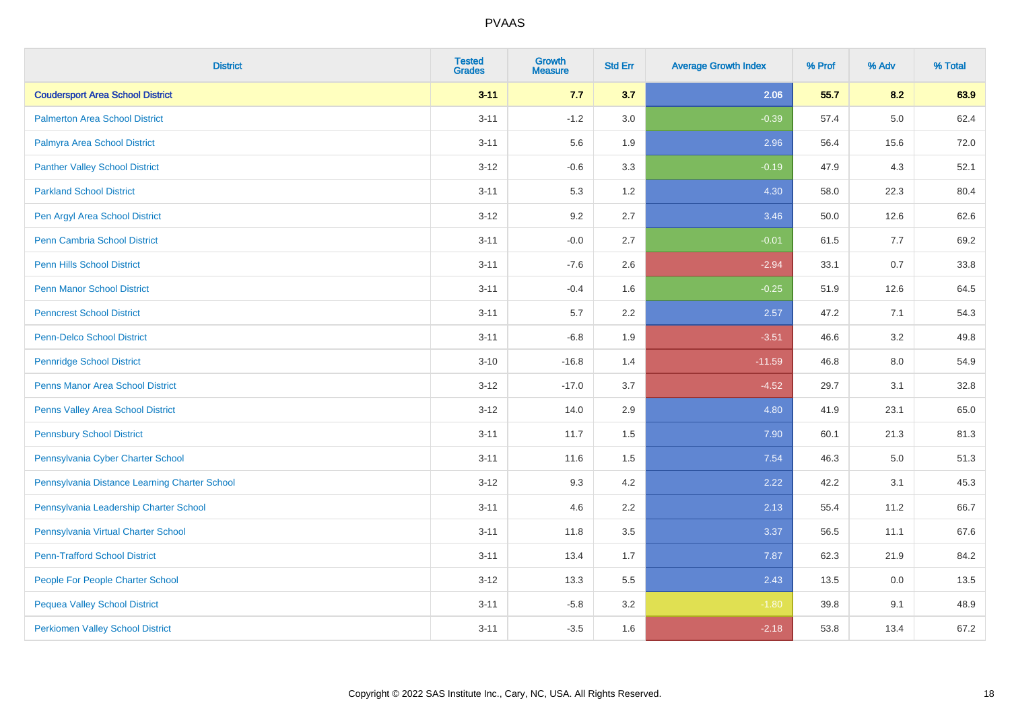| <b>District</b>                               | <b>Tested</b><br><b>Grades</b> | <b>Growth</b><br><b>Measure</b> | <b>Std Err</b> | <b>Average Growth Index</b> | % Prof | % Adv   | % Total |
|-----------------------------------------------|--------------------------------|---------------------------------|----------------|-----------------------------|--------|---------|---------|
| <b>Coudersport Area School District</b>       | $3 - 11$                       | 7.7                             | 3.7            | 2.06                        | 55.7   | 8.2     | 63.9    |
| <b>Palmerton Area School District</b>         | $3 - 11$                       | $-1.2$                          | 3.0            | $-0.39$                     | 57.4   | $5.0\,$ | 62.4    |
| Palmyra Area School District                  | $3 - 11$                       | 5.6                             | 1.9            | 2.96                        | 56.4   | 15.6    | 72.0    |
| <b>Panther Valley School District</b>         | $3-12$                         | $-0.6$                          | 3.3            | $-0.19$                     | 47.9   | 4.3     | 52.1    |
| <b>Parkland School District</b>               | $3 - 11$                       | 5.3                             | 1.2            | 4.30                        | 58.0   | 22.3    | 80.4    |
| Pen Argyl Area School District                | $3 - 12$                       | 9.2                             | 2.7            | 3.46                        | 50.0   | 12.6    | 62.6    |
| Penn Cambria School District                  | $3 - 11$                       | $-0.0$                          | 2.7            | $-0.01$                     | 61.5   | 7.7     | 69.2    |
| <b>Penn Hills School District</b>             | $3 - 11$                       | $-7.6$                          | 2.6            | $-2.94$                     | 33.1   | 0.7     | 33.8    |
| <b>Penn Manor School District</b>             | $3 - 11$                       | $-0.4$                          | 1.6            | $-0.25$                     | 51.9   | 12.6    | 64.5    |
| <b>Penncrest School District</b>              | $3 - 11$                       | 5.7                             | 2.2            | 2.57                        | 47.2   | 7.1     | 54.3    |
| <b>Penn-Delco School District</b>             | $3 - 11$                       | $-6.8$                          | 1.9            | $-3.51$                     | 46.6   | 3.2     | 49.8    |
| <b>Pennridge School District</b>              | $3 - 10$                       | $-16.8$                         | 1.4            | $-11.59$                    | 46.8   | 8.0     | 54.9    |
| Penns Manor Area School District              | $3-12$                         | $-17.0$                         | 3.7            | $-4.52$                     | 29.7   | 3.1     | 32.8    |
| Penns Valley Area School District             | $3 - 12$                       | 14.0                            | 2.9            | 4.80                        | 41.9   | 23.1    | 65.0    |
| <b>Pennsbury School District</b>              | $3 - 11$                       | 11.7                            | 1.5            | 7.90                        | 60.1   | 21.3    | 81.3    |
| Pennsylvania Cyber Charter School             | $3 - 11$                       | 11.6                            | 1.5            | 7.54                        | 46.3   | 5.0     | 51.3    |
| Pennsylvania Distance Learning Charter School | $3 - 12$                       | 9.3                             | 4.2            | 2.22                        | 42.2   | 3.1     | 45.3    |
| Pennsylvania Leadership Charter School        | $3 - 11$                       | 4.6                             | 2.2            | 2.13                        | 55.4   | 11.2    | 66.7    |
| Pennsylvania Virtual Charter School           | $3 - 11$                       | 11.8                            | 3.5            | 3.37                        | 56.5   | 11.1    | 67.6    |
| <b>Penn-Trafford School District</b>          | $3 - 11$                       | 13.4                            | 1.7            | 7.87                        | 62.3   | 21.9    | 84.2    |
| People For People Charter School              | $3 - 12$                       | 13.3                            | 5.5            | 2.43                        | 13.5   | 0.0     | 13.5    |
| <b>Pequea Valley School District</b>          | $3 - 11$                       | $-5.8$                          | 3.2            | $-1.80$                     | 39.8   | 9.1     | 48.9    |
| <b>Perkiomen Valley School District</b>       | $3 - 11$                       | $-3.5$                          | 1.6            | $-2.18$                     | 53.8   | 13.4    | 67.2    |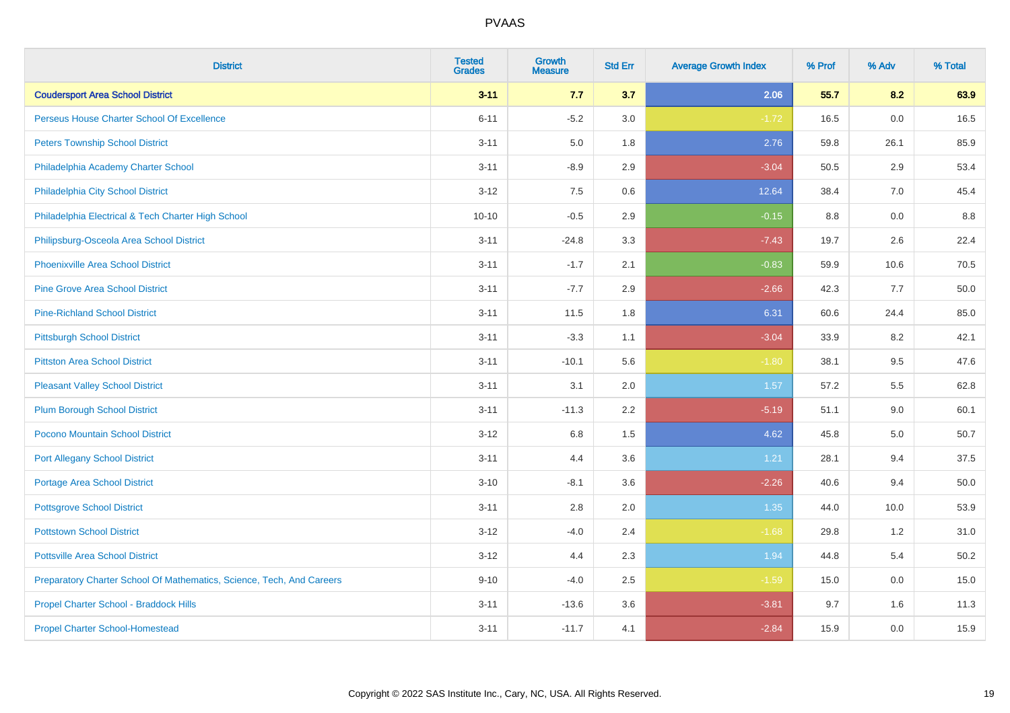| <b>District</b>                                                       | <b>Tested</b><br><b>Grades</b> | <b>Growth</b><br><b>Measure</b> | <b>Std Err</b> | <b>Average Growth Index</b> | % Prof | % Adv | % Total |
|-----------------------------------------------------------------------|--------------------------------|---------------------------------|----------------|-----------------------------|--------|-------|---------|
| <b>Coudersport Area School District</b>                               | $3 - 11$                       | 7.7                             | 3.7            | 2.06                        | 55.7   | 8.2   | 63.9    |
| Perseus House Charter School Of Excellence                            | $6 - 11$                       | $-5.2$                          | 3.0            | $-1.72$                     | 16.5   | 0.0   | 16.5    |
| <b>Peters Township School District</b>                                | $3 - 11$                       | 5.0                             | 1.8            | 2.76                        | 59.8   | 26.1  | 85.9    |
| Philadelphia Academy Charter School                                   | $3 - 11$                       | $-8.9$                          | 2.9            | $-3.04$                     | 50.5   | 2.9   | 53.4    |
| Philadelphia City School District                                     | $3 - 12$                       | 7.5                             | 0.6            | 12.64                       | 38.4   | 7.0   | 45.4    |
| Philadelphia Electrical & Tech Charter High School                    | $10 - 10$                      | $-0.5$                          | 2.9            | $-0.15$                     | 8.8    | 0.0   | 8.8     |
| Philipsburg-Osceola Area School District                              | $3 - 11$                       | $-24.8$                         | 3.3            | $-7.43$                     | 19.7   | 2.6   | 22.4    |
| <b>Phoenixville Area School District</b>                              | $3 - 11$                       | $-1.7$                          | 2.1            | $-0.83$                     | 59.9   | 10.6  | 70.5    |
| <b>Pine Grove Area School District</b>                                | $3 - 11$                       | $-7.7$                          | 2.9            | $-2.66$                     | 42.3   | 7.7   | 50.0    |
| <b>Pine-Richland School District</b>                                  | $3 - 11$                       | 11.5                            | 1.8            | 6.31                        | 60.6   | 24.4  | 85.0    |
| <b>Pittsburgh School District</b>                                     | $3 - 11$                       | $-3.3$                          | 1.1            | $-3.04$                     | 33.9   | 8.2   | 42.1    |
| <b>Pittston Area School District</b>                                  | $3 - 11$                       | $-10.1$                         | 5.6            | $-1.80$                     | 38.1   | 9.5   | 47.6    |
| <b>Pleasant Valley School District</b>                                | $3 - 11$                       | 3.1                             | 2.0            | 1.57                        | 57.2   | 5.5   | 62.8    |
| <b>Plum Borough School District</b>                                   | $3 - 11$                       | $-11.3$                         | 2.2            | $-5.19$                     | 51.1   | 9.0   | 60.1    |
| Pocono Mountain School District                                       | $3 - 12$                       | 6.8                             | 1.5            | 4.62                        | 45.8   | 5.0   | 50.7    |
| <b>Port Allegany School District</b>                                  | $3 - 11$                       | 4.4                             | 3.6            | 1.21                        | 28.1   | 9.4   | 37.5    |
| <b>Portage Area School District</b>                                   | $3 - 10$                       | $-8.1$                          | 3.6            | $-2.26$                     | 40.6   | 9.4   | 50.0    |
| <b>Pottsgrove School District</b>                                     | $3 - 11$                       | 2.8                             | 2.0            | 1.35                        | 44.0   | 10.0  | 53.9    |
| <b>Pottstown School District</b>                                      | $3 - 12$                       | $-4.0$                          | 2.4            | $-1.68$                     | 29.8   | 1.2   | 31.0    |
| <b>Pottsville Area School District</b>                                | $3 - 12$                       | 4.4                             | 2.3            | 1.94                        | 44.8   | 5.4   | 50.2    |
| Preparatory Charter School Of Mathematics, Science, Tech, And Careers | $9 - 10$                       | $-4.0$                          | 2.5            | $-1.59$                     | 15.0   | 0.0   | 15.0    |
| Propel Charter School - Braddock Hills                                | $3 - 11$                       | $-13.6$                         | 3.6            | $-3.81$                     | 9.7    | 1.6   | 11.3    |
| <b>Propel Charter School-Homestead</b>                                | $3 - 11$                       | $-11.7$                         | 4.1            | $-2.84$                     | 15.9   | 0.0   | 15.9    |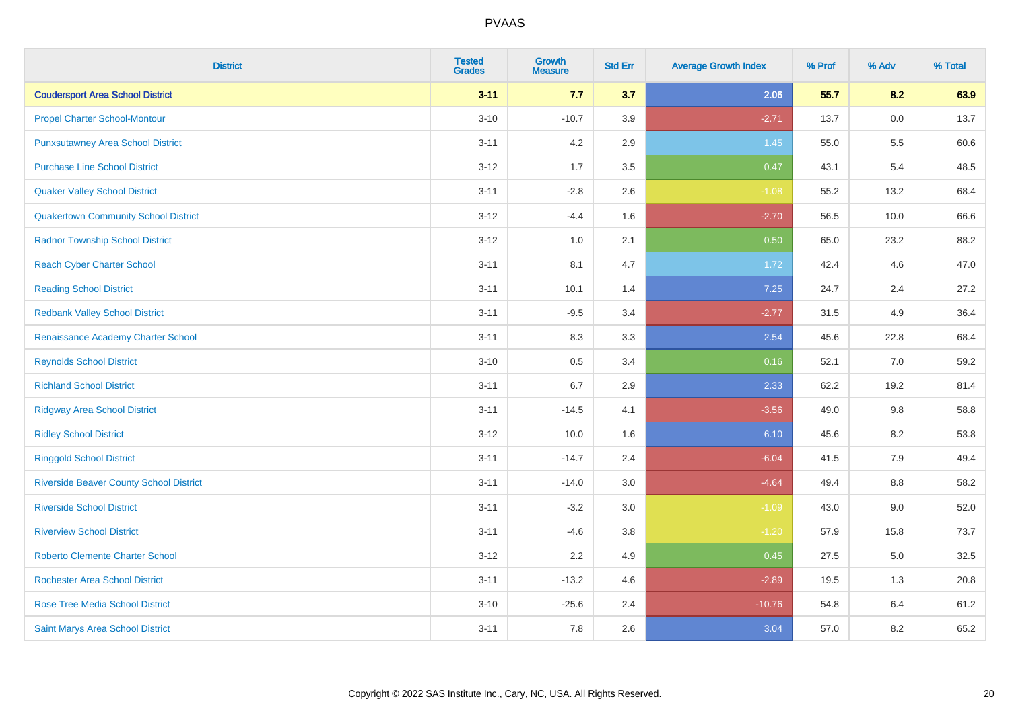| <b>District</b>                                | <b>Tested</b><br><b>Grades</b> | <b>Growth</b><br><b>Measure</b> | <b>Std Err</b> | <b>Average Growth Index</b> | % Prof | % Adv   | % Total |
|------------------------------------------------|--------------------------------|---------------------------------|----------------|-----------------------------|--------|---------|---------|
| <b>Coudersport Area School District</b>        | $3 - 11$                       | 7.7                             | 3.7            | 2.06                        | 55.7   | 8.2     | 63.9    |
| <b>Propel Charter School-Montour</b>           | $3 - 10$                       | $-10.7$                         | 3.9            | $-2.71$                     | 13.7   | 0.0     | 13.7    |
| <b>Punxsutawney Area School District</b>       | $3 - 11$                       | 4.2                             | 2.9            | 1.45                        | 55.0   | 5.5     | 60.6    |
| <b>Purchase Line School District</b>           | $3 - 12$                       | 1.7                             | 3.5            | 0.47                        | 43.1   | 5.4     | 48.5    |
| <b>Quaker Valley School District</b>           | $3 - 11$                       | $-2.8$                          | 2.6            | $-1.08$                     | 55.2   | 13.2    | 68.4    |
| <b>Quakertown Community School District</b>    | $3 - 12$                       | $-4.4$                          | 1.6            | $-2.70$                     | 56.5   | 10.0    | 66.6    |
| <b>Radnor Township School District</b>         | $3-12$                         | 1.0                             | 2.1            | 0.50                        | 65.0   | 23.2    | 88.2    |
| <b>Reach Cyber Charter School</b>              | $3 - 11$                       | 8.1                             | 4.7            | 1.72                        | 42.4   | 4.6     | 47.0    |
| <b>Reading School District</b>                 | $3 - 11$                       | 10.1                            | 1.4            | 7.25                        | 24.7   | 2.4     | 27.2    |
| <b>Redbank Valley School District</b>          | $3 - 11$                       | $-9.5$                          | 3.4            | $-2.77$                     | 31.5   | 4.9     | 36.4    |
| Renaissance Academy Charter School             | $3 - 11$                       | 8.3                             | 3.3            | 2.54                        | 45.6   | 22.8    | 68.4    |
| <b>Reynolds School District</b>                | $3 - 10$                       | 0.5                             | 3.4            | 0.16                        | 52.1   | 7.0     | 59.2    |
| <b>Richland School District</b>                | $3 - 11$                       | 6.7                             | 2.9            | 2.33                        | 62.2   | 19.2    | 81.4    |
| <b>Ridgway Area School District</b>            | $3 - 11$                       | $-14.5$                         | 4.1            | $-3.56$                     | 49.0   | 9.8     | 58.8    |
| <b>Ridley School District</b>                  | $3 - 12$                       | 10.0                            | 1.6            | 6.10                        | 45.6   | 8.2     | 53.8    |
| <b>Ringgold School District</b>                | $3 - 11$                       | $-14.7$                         | 2.4            | $-6.04$                     | 41.5   | 7.9     | 49.4    |
| <b>Riverside Beaver County School District</b> | $3 - 11$                       | $-14.0$                         | 3.0            | $-4.64$                     | 49.4   | 8.8     | 58.2    |
| <b>Riverside School District</b>               | $3 - 11$                       | $-3.2$                          | 3.0            | $-1.09$                     | 43.0   | 9.0     | 52.0    |
| <b>Riverview School District</b>               | $3 - 11$                       | $-4.6$                          | 3.8            | $-1.20$                     | 57.9   | 15.8    | 73.7    |
| <b>Roberto Clemente Charter School</b>         | $3-12$                         | 2.2                             | 4.9            | 0.45                        | 27.5   | $5.0\,$ | 32.5    |
| Rochester Area School District                 | $3 - 11$                       | $-13.2$                         | 4.6            | $-2.89$                     | 19.5   | 1.3     | 20.8    |
| <b>Rose Tree Media School District</b>         | $3 - 10$                       | $-25.6$                         | 2.4            | $-10.76$                    | 54.8   | 6.4     | 61.2    |
| Saint Marys Area School District               | $3 - 11$                       | 7.8                             | 2.6            | 3.04                        | 57.0   | 8.2     | 65.2    |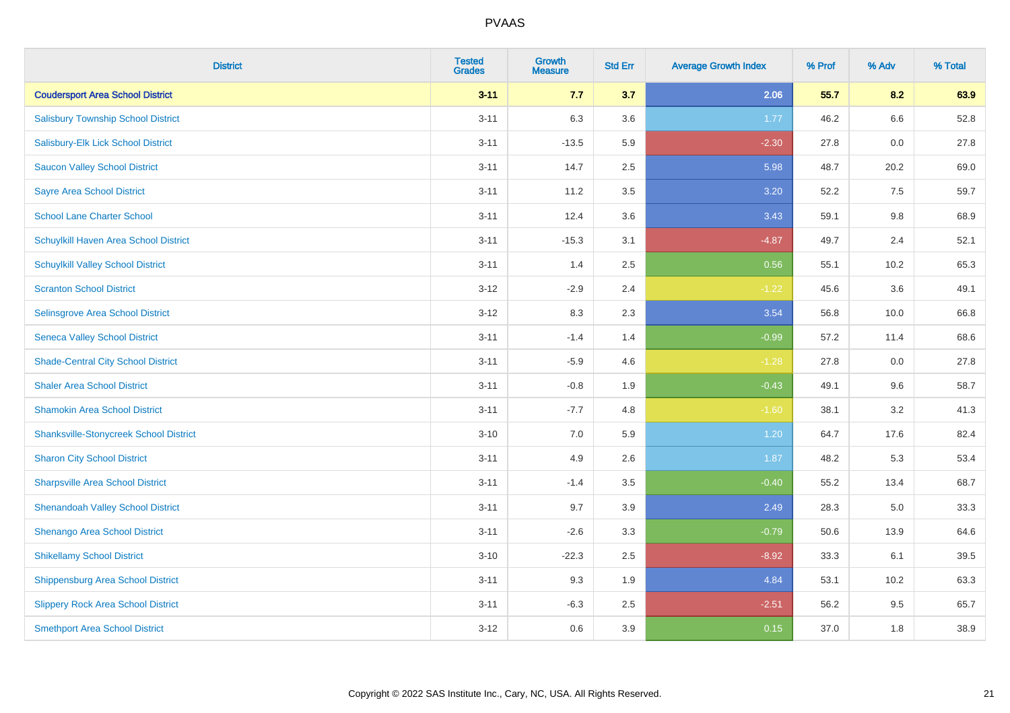| <b>District</b>                               | <b>Tested</b><br><b>Grades</b> | <b>Growth</b><br><b>Measure</b> | <b>Std Err</b> | <b>Average Growth Index</b> | % Prof | % Adv | % Total |
|-----------------------------------------------|--------------------------------|---------------------------------|----------------|-----------------------------|--------|-------|---------|
| <b>Coudersport Area School District</b>       | $3 - 11$                       | 7.7                             | 3.7            | 2.06                        | 55.7   | 8.2   | 63.9    |
| <b>Salisbury Township School District</b>     | $3 - 11$                       | 6.3                             | 3.6            | 1.77                        | 46.2   | 6.6   | 52.8    |
| Salisbury-Elk Lick School District            | $3 - 11$                       | $-13.5$                         | 5.9            | $-2.30$                     | 27.8   | 0.0   | 27.8    |
| <b>Saucon Valley School District</b>          | $3 - 11$                       | 14.7                            | 2.5            | 5.98                        | 48.7   | 20.2  | 69.0    |
| <b>Sayre Area School District</b>             | $3 - 11$                       | 11.2                            | 3.5            | 3.20                        | 52.2   | 7.5   | 59.7    |
| <b>School Lane Charter School</b>             | $3 - 11$                       | 12.4                            | 3.6            | 3.43                        | 59.1   | 9.8   | 68.9    |
| Schuylkill Haven Area School District         | $3 - 11$                       | $-15.3$                         | 3.1            | $-4.87$                     | 49.7   | 2.4   | 52.1    |
| <b>Schuylkill Valley School District</b>      | $3 - 11$                       | 1.4                             | 2.5            | 0.56                        | 55.1   | 10.2  | 65.3    |
| <b>Scranton School District</b>               | $3 - 12$                       | $-2.9$                          | 2.4            | $-1.22$                     | 45.6   | 3.6   | 49.1    |
| <b>Selinsgrove Area School District</b>       | $3 - 12$                       | 8.3                             | 2.3            | 3.54                        | 56.8   | 10.0  | 66.8    |
| <b>Seneca Valley School District</b>          | $3 - 11$                       | $-1.4$                          | 1.4            | $-0.99$                     | 57.2   | 11.4  | 68.6    |
| <b>Shade-Central City School District</b>     | $3 - 11$                       | $-5.9$                          | 4.6            | $-1.28$                     | 27.8   | 0.0   | 27.8    |
| <b>Shaler Area School District</b>            | $3 - 11$                       | $-0.8$                          | 1.9            | $-0.43$                     | 49.1   | 9.6   | 58.7    |
| <b>Shamokin Area School District</b>          | $3 - 11$                       | $-7.7$                          | 4.8            | $-1.60$                     | 38.1   | 3.2   | 41.3    |
| <b>Shanksville-Stonycreek School District</b> | $3 - 10$                       | 7.0                             | 5.9            | 1.20                        | 64.7   | 17.6  | 82.4    |
| <b>Sharon City School District</b>            | $3 - 11$                       | 4.9                             | 2.6            | 1.87                        | 48.2   | 5.3   | 53.4    |
| <b>Sharpsville Area School District</b>       | $3 - 11$                       | $-1.4$                          | 3.5            | $-0.40$                     | 55.2   | 13.4  | 68.7    |
| <b>Shenandoah Valley School District</b>      | $3 - 11$                       | 9.7                             | 3.9            | 2.49                        | 28.3   | 5.0   | 33.3    |
| Shenango Area School District                 | $3 - 11$                       | $-2.6$                          | 3.3            | $-0.79$                     | 50.6   | 13.9  | 64.6    |
| <b>Shikellamy School District</b>             | $3 - 10$                       | $-22.3$                         | 2.5            | $-8.92$                     | 33.3   | 6.1   | 39.5    |
| <b>Shippensburg Area School District</b>      | $3 - 11$                       | 9.3                             | 1.9            | 4.84                        | 53.1   | 10.2  | 63.3    |
| <b>Slippery Rock Area School District</b>     | $3 - 11$                       | $-6.3$                          | 2.5            | $-2.51$                     | 56.2   | 9.5   | 65.7    |
| <b>Smethport Area School District</b>         | $3 - 12$                       | 0.6                             | 3.9            | 0.15                        | 37.0   | 1.8   | 38.9    |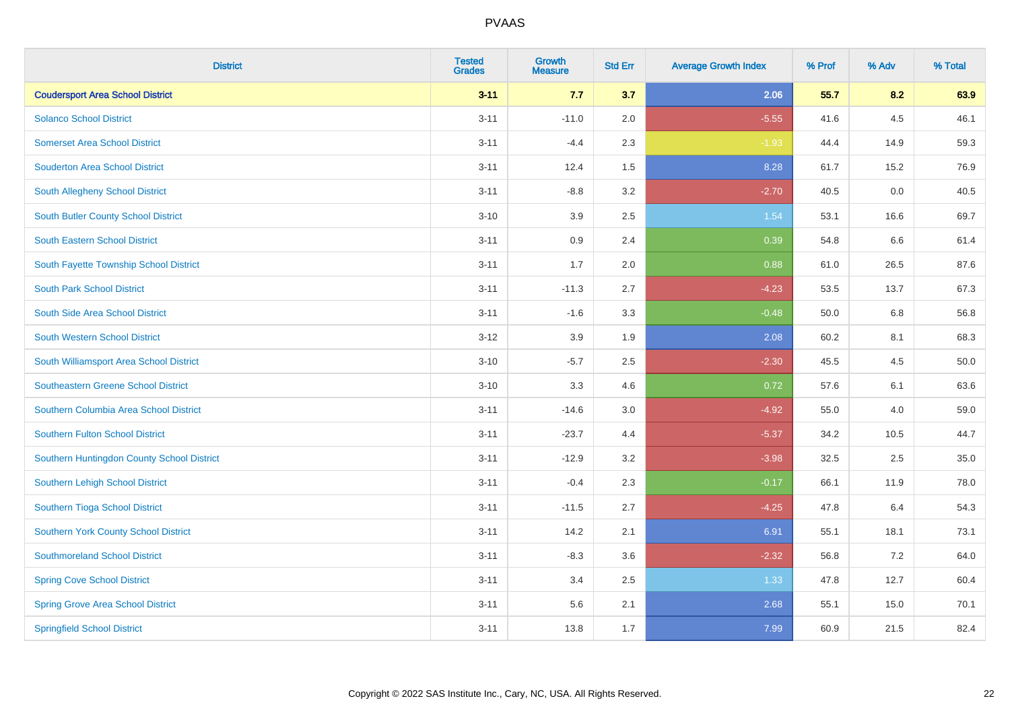| <b>District</b>                            | <b>Tested</b><br><b>Grades</b> | <b>Growth</b><br><b>Measure</b> | <b>Std Err</b> | <b>Average Growth Index</b> | % Prof | % Adv | % Total |
|--------------------------------------------|--------------------------------|---------------------------------|----------------|-----------------------------|--------|-------|---------|
| <b>Coudersport Area School District</b>    | $3 - 11$                       | 7.7                             | 3.7            | 2.06                        | 55.7   | 8.2   | 63.9    |
| <b>Solanco School District</b>             | $3 - 11$                       | $-11.0$                         | 2.0            | $-5.55$                     | 41.6   | 4.5   | 46.1    |
| <b>Somerset Area School District</b>       | $3 - 11$                       | $-4.4$                          | 2.3            | $-1.93$                     | 44.4   | 14.9  | 59.3    |
| <b>Souderton Area School District</b>      | $3 - 11$                       | 12.4                            | 1.5            | 8.28                        | 61.7   | 15.2  | 76.9    |
| South Allegheny School District            | $3 - 11$                       | $-8.8$                          | 3.2            | $-2.70$                     | 40.5   | 0.0   | 40.5    |
| South Butler County School District        | $3 - 10$                       | 3.9                             | 2.5            | 1.54                        | 53.1   | 16.6  | 69.7    |
| South Eastern School District              | $3 - 11$                       | 0.9                             | 2.4            | 0.39                        | 54.8   | 6.6   | 61.4    |
| South Fayette Township School District     | $3 - 11$                       | 1.7                             | 2.0            | 0.88                        | 61.0   | 26.5  | 87.6    |
| <b>South Park School District</b>          | $3 - 11$                       | $-11.3$                         | 2.7            | $-4.23$                     | 53.5   | 13.7  | 67.3    |
| South Side Area School District            | $3 - 11$                       | $-1.6$                          | 3.3            | $-0.48$                     | 50.0   | 6.8   | 56.8    |
| South Western School District              | $3 - 12$                       | 3.9                             | 1.9            | 2.08                        | 60.2   | 8.1   | 68.3    |
| South Williamsport Area School District    | $3 - 10$                       | $-5.7$                          | 2.5            | $-2.30$                     | 45.5   | 4.5   | 50.0    |
| <b>Southeastern Greene School District</b> | $3 - 10$                       | 3.3                             | 4.6            | 0.72                        | 57.6   | 6.1   | 63.6    |
| Southern Columbia Area School District     | $3 - 11$                       | $-14.6$                         | $3.0\,$        | $-4.92$                     | 55.0   | 4.0   | 59.0    |
| <b>Southern Fulton School District</b>     | $3 - 11$                       | $-23.7$                         | 4.4            | $-5.37$                     | 34.2   | 10.5  | 44.7    |
| Southern Huntingdon County School District | $3 - 11$                       | $-12.9$                         | 3.2            | $-3.98$                     | 32.5   | 2.5   | 35.0    |
| Southern Lehigh School District            | $3 - 11$                       | $-0.4$                          | 2.3            | $-0.17$                     | 66.1   | 11.9  | 78.0    |
| Southern Tioga School District             | $3 - 11$                       | $-11.5$                         | 2.7            | $-4.25$                     | 47.8   | 6.4   | 54.3    |
| Southern York County School District       | $3 - 11$                       | 14.2                            | 2.1            | 6.91                        | 55.1   | 18.1  | 73.1    |
| <b>Southmoreland School District</b>       | $3 - 11$                       | $-8.3$                          | 3.6            | $-2.32$                     | 56.8   | 7.2   | 64.0    |
| <b>Spring Cove School District</b>         | $3 - 11$                       | 3.4                             | 2.5            | 1.33                        | 47.8   | 12.7  | 60.4    |
| <b>Spring Grove Area School District</b>   | $3 - 11$                       | 5.6                             | 2.1            | 2.68                        | 55.1   | 15.0  | 70.1    |
| <b>Springfield School District</b>         | $3 - 11$                       | 13.8                            | 1.7            | 7.99                        | 60.9   | 21.5  | 82.4    |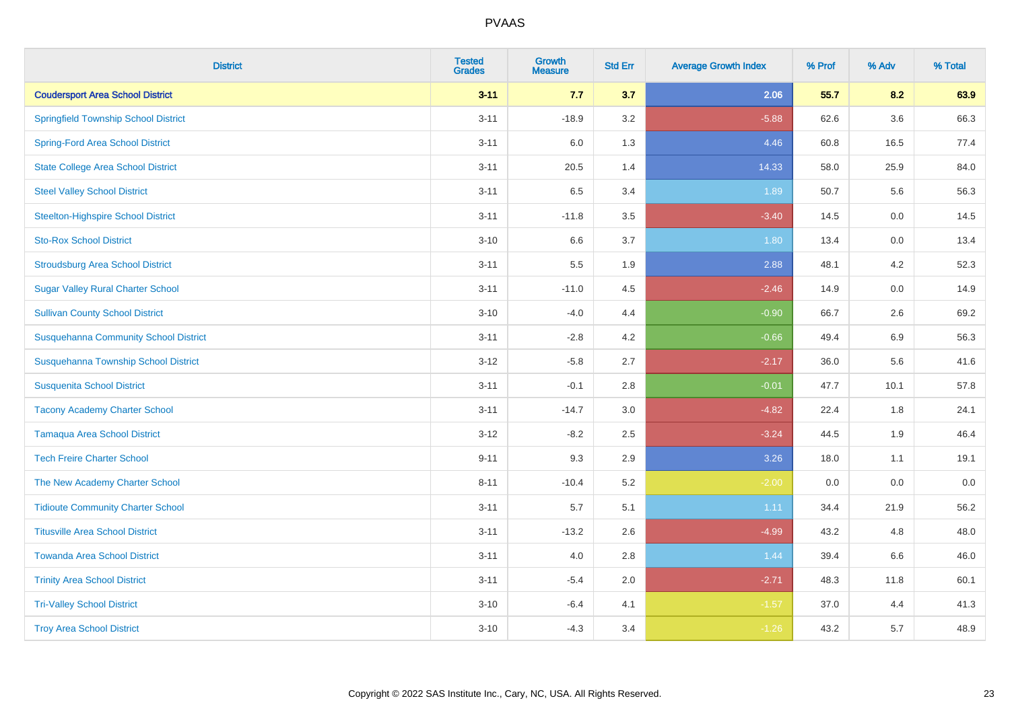| <b>District</b>                              | <b>Tested</b><br><b>Grades</b> | <b>Growth</b><br><b>Measure</b> | <b>Std Err</b> | <b>Average Growth Index</b> | % Prof | % Adv | % Total |
|----------------------------------------------|--------------------------------|---------------------------------|----------------|-----------------------------|--------|-------|---------|
| <b>Coudersport Area School District</b>      | $3 - 11$                       | 7.7                             | 3.7            | 2.06                        | 55.7   | 8.2   | 63.9    |
| <b>Springfield Township School District</b>  | $3 - 11$                       | $-18.9$                         | 3.2            | $-5.88$                     | 62.6   | 3.6   | 66.3    |
| <b>Spring-Ford Area School District</b>      | $3 - 11$                       | 6.0                             | 1.3            | 4.46                        | 60.8   | 16.5  | 77.4    |
| <b>State College Area School District</b>    | $3 - 11$                       | 20.5                            | 1.4            | 14.33                       | 58.0   | 25.9  | 84.0    |
| <b>Steel Valley School District</b>          | $3 - 11$                       | 6.5                             | 3.4            | 1.89                        | 50.7   | 5.6   | 56.3    |
| <b>Steelton-Highspire School District</b>    | $3 - 11$                       | $-11.8$                         | 3.5            | $-3.40$                     | 14.5   | 0.0   | 14.5    |
| <b>Sto-Rox School District</b>               | $3 - 10$                       | 6.6                             | 3.7            | 1.80                        | 13.4   | 0.0   | 13.4    |
| <b>Stroudsburg Area School District</b>      | $3 - 11$                       | 5.5                             | 1.9            | 2.88                        | 48.1   | 4.2   | 52.3    |
| <b>Sugar Valley Rural Charter School</b>     | $3 - 11$                       | $-11.0$                         | 4.5            | $-2.46$                     | 14.9   | 0.0   | 14.9    |
| <b>Sullivan County School District</b>       | $3 - 10$                       | $-4.0$                          | 4.4            | $-0.90$                     | 66.7   | 2.6   | 69.2    |
| <b>Susquehanna Community School District</b> | $3 - 11$                       | $-2.8$                          | 4.2            | $-0.66$                     | 49.4   | 6.9   | 56.3    |
| Susquehanna Township School District         | $3 - 12$                       | $-5.8$                          | 2.7            | $-2.17$                     | 36.0   | 5.6   | 41.6    |
| <b>Susquenita School District</b>            | $3 - 11$                       | $-0.1$                          | 2.8            | $-0.01$                     | 47.7   | 10.1  | 57.8    |
| <b>Tacony Academy Charter School</b>         | $3 - 11$                       | $-14.7$                         | 3.0            | $-4.82$                     | 22.4   | 1.8   | 24.1    |
| <b>Tamaqua Area School District</b>          | $3 - 12$                       | $-8.2$                          | 2.5            | $-3.24$                     | 44.5   | 1.9   | 46.4    |
| <b>Tech Freire Charter School</b>            | $9 - 11$                       | 9.3                             | 2.9            | 3.26                        | 18.0   | 1.1   | 19.1    |
| The New Academy Charter School               | $8 - 11$                       | $-10.4$                         | 5.2            | $-2.00$                     | 0.0    | 0.0   | 0.0     |
| <b>Tidioute Community Charter School</b>     | $3 - 11$                       | 5.7                             | 5.1            | 1.11                        | 34.4   | 21.9  | 56.2    |
| <b>Titusville Area School District</b>       | $3 - 11$                       | $-13.2$                         | 2.6            | $-4.99$                     | 43.2   | 4.8   | 48.0    |
| <b>Towanda Area School District</b>          | $3 - 11$                       | 4.0                             | 2.8            | 1.44                        | 39.4   | 6.6   | 46.0    |
| <b>Trinity Area School District</b>          | $3 - 11$                       | $-5.4$                          | 2.0            | $-2.71$                     | 48.3   | 11.8  | 60.1    |
| <b>Tri-Valley School District</b>            | $3 - 10$                       | $-6.4$                          | 4.1            | $-1.57$                     | 37.0   | 4.4   | 41.3    |
| <b>Troy Area School District</b>             | $3 - 10$                       | $-4.3$                          | 3.4            | $-1.26$                     | 43.2   | 5.7   | 48.9    |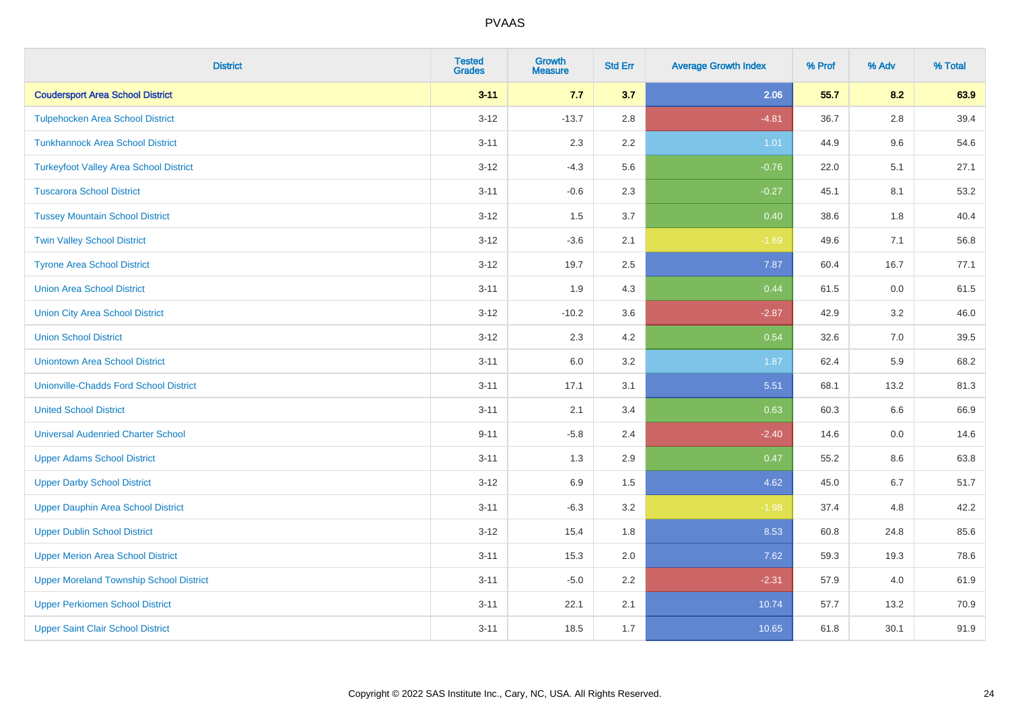| <b>District</b>                                | <b>Tested</b><br><b>Grades</b> | <b>Growth</b><br><b>Measure</b> | <b>Std Err</b> | <b>Average Growth Index</b> | % Prof | % Adv   | % Total |
|------------------------------------------------|--------------------------------|---------------------------------|----------------|-----------------------------|--------|---------|---------|
| <b>Coudersport Area School District</b>        | $3 - 11$                       | 7.7                             | 3.7            | 2.06                        | 55.7   | 8.2     | 63.9    |
| <b>Tulpehocken Area School District</b>        | $3 - 12$                       | $-13.7$                         | 2.8            | $-4.81$                     | 36.7   | $2.8\,$ | 39.4    |
| <b>Tunkhannock Area School District</b>        | $3 - 11$                       | 2.3                             | 2.2            | 1.01                        | 44.9   | 9.6     | 54.6    |
| <b>Turkeyfoot Valley Area School District</b>  | $3 - 12$                       | $-4.3$                          | 5.6            | $-0.76$                     | 22.0   | 5.1     | 27.1    |
| <b>Tuscarora School District</b>               | $3 - 11$                       | $-0.6$                          | 2.3            | $-0.27$                     | 45.1   | 8.1     | 53.2    |
| <b>Tussey Mountain School District</b>         | $3 - 12$                       | 1.5                             | 3.7            | 0.40                        | 38.6   | 1.8     | 40.4    |
| <b>Twin Valley School District</b>             | $3 - 12$                       | $-3.6$                          | 2.1            | $-1.69$                     | 49.6   | 7.1     | 56.8    |
| <b>Tyrone Area School District</b>             | $3 - 12$                       | 19.7                            | 2.5            | 7.87                        | 60.4   | 16.7    | 77.1    |
| <b>Union Area School District</b>              | $3 - 11$                       | 1.9                             | 4.3            | 0.44                        | 61.5   | 0.0     | 61.5    |
| <b>Union City Area School District</b>         | $3 - 12$                       | $-10.2$                         | 3.6            | $-2.87$                     | 42.9   | 3.2     | 46.0    |
| <b>Union School District</b>                   | $3 - 12$                       | 2.3                             | 4.2            | 0.54                        | 32.6   | 7.0     | 39.5    |
| <b>Uniontown Area School District</b>          | $3 - 11$                       | 6.0                             | 3.2            | 1.87                        | 62.4   | 5.9     | 68.2    |
| <b>Unionville-Chadds Ford School District</b>  | $3 - 11$                       | 17.1                            | 3.1            | 5.51                        | 68.1   | 13.2    | 81.3    |
| <b>United School District</b>                  | $3 - 11$                       | 2.1                             | 3.4            | 0.63                        | 60.3   | 6.6     | 66.9    |
| <b>Universal Audenried Charter School</b>      | $9 - 11$                       | $-5.8$                          | 2.4            | $-2.40$                     | 14.6   | 0.0     | 14.6    |
| <b>Upper Adams School District</b>             | $3 - 11$                       | 1.3                             | 2.9            | 0.47                        | 55.2   | $8.6\,$ | 63.8    |
| <b>Upper Darby School District</b>             | $3 - 12$                       | 6.9                             | 1.5            | 4.62                        | 45.0   | 6.7     | 51.7    |
| <b>Upper Dauphin Area School District</b>      | $3 - 11$                       | $-6.3$                          | $3.2\,$        | $-1.98$                     | 37.4   | 4.8     | 42.2    |
| <b>Upper Dublin School District</b>            | $3 - 12$                       | 15.4                            | 1.8            | 8.53                        | 60.8   | 24.8    | 85.6    |
| <b>Upper Merion Area School District</b>       | $3 - 11$                       | 15.3                            | 2.0            | 7.62                        | 59.3   | 19.3    | 78.6    |
| <b>Upper Moreland Township School District</b> | $3 - 11$                       | $-5.0$                          | 2.2            | $-2.31$                     | 57.9   | 4.0     | 61.9    |
| <b>Upper Perkiomen School District</b>         | $3 - 11$                       | 22.1                            | 2.1            | 10.74                       | 57.7   | 13.2    | 70.9    |
| <b>Upper Saint Clair School District</b>       | $3 - 11$                       | 18.5                            | 1.7            | 10.65                       | 61.8   | 30.1    | 91.9    |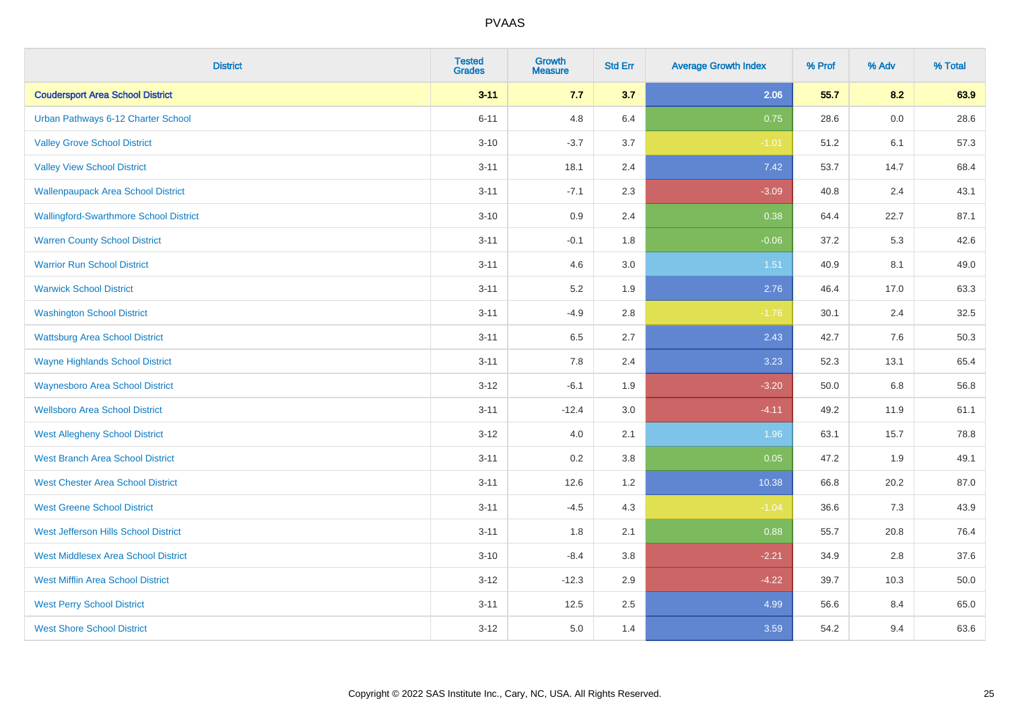| <b>District</b>                               | <b>Tested</b><br><b>Grades</b> | <b>Growth</b><br><b>Measure</b> | <b>Std Err</b> | <b>Average Growth Index</b> | % Prof | % Adv   | % Total |
|-----------------------------------------------|--------------------------------|---------------------------------|----------------|-----------------------------|--------|---------|---------|
| <b>Coudersport Area School District</b>       | $3 - 11$                       | 7.7                             | 3.7            | 2.06                        | 55.7   | 8.2     | 63.9    |
| Urban Pathways 6-12 Charter School            | $6 - 11$                       | 4.8                             | 6.4            | 0.75                        | 28.6   | $0.0\,$ | 28.6    |
| <b>Valley Grove School District</b>           | $3 - 10$                       | $-3.7$                          | 3.7            | $-1.01$                     | 51.2   | 6.1     | 57.3    |
| <b>Valley View School District</b>            | $3 - 11$                       | 18.1                            | 2.4            | 7.42                        | 53.7   | 14.7    | 68.4    |
| <b>Wallenpaupack Area School District</b>     | $3 - 11$                       | $-7.1$                          | 2.3            | $-3.09$                     | 40.8   | 2.4     | 43.1    |
| <b>Wallingford-Swarthmore School District</b> | $3 - 10$                       | 0.9                             | 2.4            | 0.38                        | 64.4   | 22.7    | 87.1    |
| <b>Warren County School District</b>          | $3 - 11$                       | $-0.1$                          | 1.8            | $-0.06$                     | 37.2   | 5.3     | 42.6    |
| <b>Warrior Run School District</b>            | $3 - 11$                       | 4.6                             | 3.0            | 1.51                        | 40.9   | 8.1     | 49.0    |
| <b>Warwick School District</b>                | $3 - 11$                       | 5.2                             | 1.9            | 2.76                        | 46.4   | 17.0    | 63.3    |
| <b>Washington School District</b>             | $3 - 11$                       | $-4.9$                          | 2.8            | $-1.76$                     | 30.1   | 2.4     | 32.5    |
| <b>Wattsburg Area School District</b>         | $3 - 11$                       | 6.5                             | 2.7            | 2.43                        | 42.7   | 7.6     | 50.3    |
| <b>Wayne Highlands School District</b>        | $3 - 11$                       | 7.8                             | 2.4            | 3.23                        | 52.3   | 13.1    | 65.4    |
| <b>Waynesboro Area School District</b>        | $3 - 12$                       | $-6.1$                          | 1.9            | $-3.20$                     | 50.0   | $6.8\,$ | 56.8    |
| <b>Wellsboro Area School District</b>         | $3 - 11$                       | $-12.4$                         | 3.0            | $-4.11$                     | 49.2   | 11.9    | 61.1    |
| <b>West Allegheny School District</b>         | $3 - 12$                       | $4.0\,$                         | 2.1            | 1.96                        | 63.1   | 15.7    | 78.8    |
| <b>West Branch Area School District</b>       | $3 - 11$                       | 0.2                             | 3.8            | 0.05                        | 47.2   | 1.9     | 49.1    |
| <b>West Chester Area School District</b>      | $3 - 11$                       | 12.6                            | 1.2            | 10.38                       | 66.8   | 20.2    | 87.0    |
| <b>West Greene School District</b>            | $3 - 11$                       | $-4.5$                          | 4.3            | $-1.04$                     | 36.6   | 7.3     | 43.9    |
| West Jefferson Hills School District          | $3 - 11$                       | 1.8                             | 2.1            | 0.88                        | 55.7   | 20.8    | 76.4    |
| <b>West Middlesex Area School District</b>    | $3 - 10$                       | $-8.4$                          | 3.8            | $-2.21$                     | 34.9   | 2.8     | 37.6    |
| <b>West Mifflin Area School District</b>      | $3 - 12$                       | $-12.3$                         | 2.9            | $-4.22$                     | 39.7   | 10.3    | 50.0    |
| <b>West Perry School District</b>             | $3 - 11$                       | 12.5                            | 2.5            | 4.99                        | 56.6   | 8.4     | 65.0    |
| <b>West Shore School District</b>             | $3 - 12$                       | 5.0                             | 1.4            | 3.59                        | 54.2   | 9.4     | 63.6    |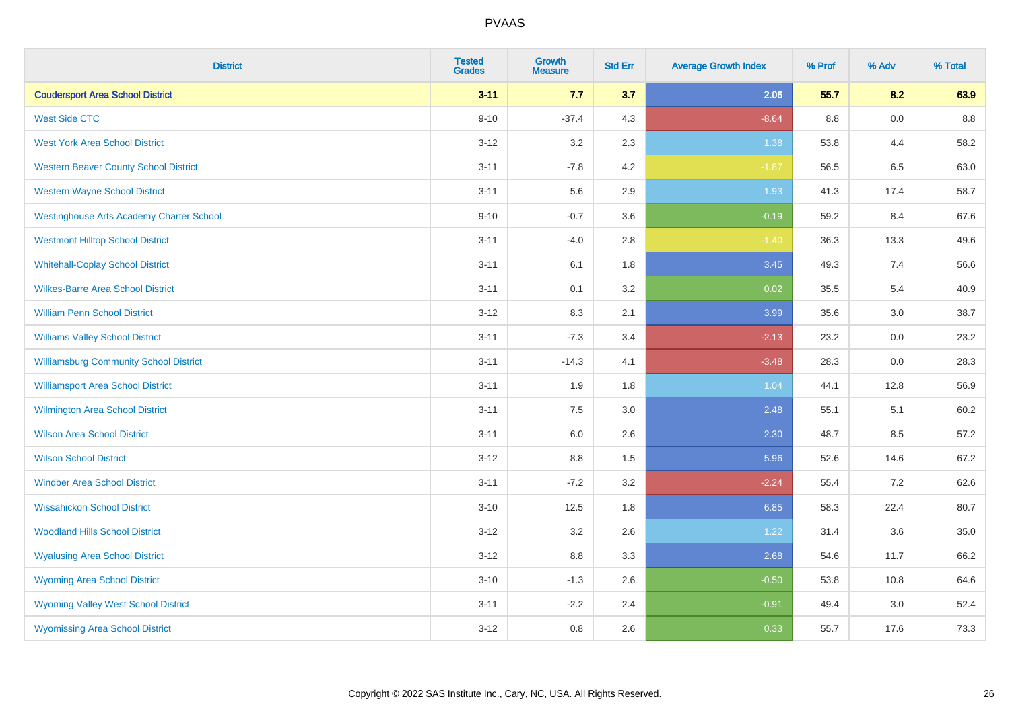| <b>District</b>                                 | <b>Tested</b><br><b>Grades</b> | <b>Growth</b><br><b>Measure</b> | <b>Std Err</b> | <b>Average Growth Index</b> | % Prof | % Adv | % Total |
|-------------------------------------------------|--------------------------------|---------------------------------|----------------|-----------------------------|--------|-------|---------|
| <b>Coudersport Area School District</b>         | $3 - 11$                       | 7.7                             | 3.7            | 2.06                        | 55.7   | 8.2   | 63.9    |
| <b>West Side CTC</b>                            | $9 - 10$                       | $-37.4$                         | 4.3            | $-8.64$                     | 8.8    | 0.0   | 8.8     |
| <b>West York Area School District</b>           | $3 - 12$                       | 3.2                             | 2.3            | 1.38                        | 53.8   | 4.4   | 58.2    |
| <b>Western Beaver County School District</b>    | $3 - 11$                       | $-7.8$                          | 4.2            | $-1.87$                     | 56.5   | 6.5   | 63.0    |
| <b>Western Wayne School District</b>            | $3 - 11$                       | 5.6                             | 2.9            | 1.93                        | 41.3   | 17.4  | 58.7    |
| <b>Westinghouse Arts Academy Charter School</b> | $9 - 10$                       | $-0.7$                          | 3.6            | $-0.19$                     | 59.2   | 8.4   | 67.6    |
| <b>Westmont Hilltop School District</b>         | $3 - 11$                       | $-4.0$                          | 2.8            | $-1.40$                     | 36.3   | 13.3  | 49.6    |
| <b>Whitehall-Coplay School District</b>         | $3 - 11$                       | 6.1                             | 1.8            | 3.45                        | 49.3   | 7.4   | 56.6    |
| <b>Wilkes-Barre Area School District</b>        | $3 - 11$                       | 0.1                             | 3.2            | 0.02                        | 35.5   | 5.4   | 40.9    |
| <b>William Penn School District</b>             | $3 - 12$                       | 8.3                             | 2.1            | 3.99                        | 35.6   | 3.0   | 38.7    |
| <b>Williams Valley School District</b>          | $3 - 11$                       | $-7.3$                          | 3.4            | $-2.13$                     | 23.2   | 0.0   | 23.2    |
| <b>Williamsburg Community School District</b>   | $3 - 11$                       | $-14.3$                         | 4.1            | $-3.48$                     | 28.3   | 0.0   | 28.3    |
| <b>Williamsport Area School District</b>        | $3 - 11$                       | 1.9                             | 1.8            | 1.04                        | 44.1   | 12.8  | 56.9    |
| <b>Wilmington Area School District</b>          | $3 - 11$                       | $7.5\,$                         | 3.0            | 2.48                        | 55.1   | 5.1   | 60.2    |
| <b>Wilson Area School District</b>              | $3 - 11$                       | 6.0                             | 2.6            | 2.30                        | 48.7   | 8.5   | 57.2    |
| <b>Wilson School District</b>                   | $3 - 12$                       | 8.8                             | 1.5            | 5.96                        | 52.6   | 14.6  | 67.2    |
| <b>Windber Area School District</b>             | $3 - 11$                       | $-7.2$                          | 3.2            | $-2.24$                     | 55.4   | 7.2   | 62.6    |
| <b>Wissahickon School District</b>              | $3 - 10$                       | 12.5                            | 1.8            | 6.85                        | 58.3   | 22.4  | 80.7    |
| <b>Woodland Hills School District</b>           | $3 - 12$                       | 3.2                             | 2.6            | 1.22                        | 31.4   | 3.6   | 35.0    |
| <b>Wyalusing Area School District</b>           | $3-12$                         | 8.8                             | 3.3            | 2.68                        | 54.6   | 11.7  | 66.2    |
| <b>Wyoming Area School District</b>             | $3 - 10$                       | $-1.3$                          | 2.6            | $-0.50$                     | 53.8   | 10.8  | 64.6    |
| <b>Wyoming Valley West School District</b>      | $3 - 11$                       | $-2.2$                          | 2.4            | $-0.91$                     | 49.4   | 3.0   | 52.4    |
| <b>Wyomissing Area School District</b>          | $3-12$                         | 0.8                             | 2.6            | 0.33                        | 55.7   | 17.6  | 73.3    |